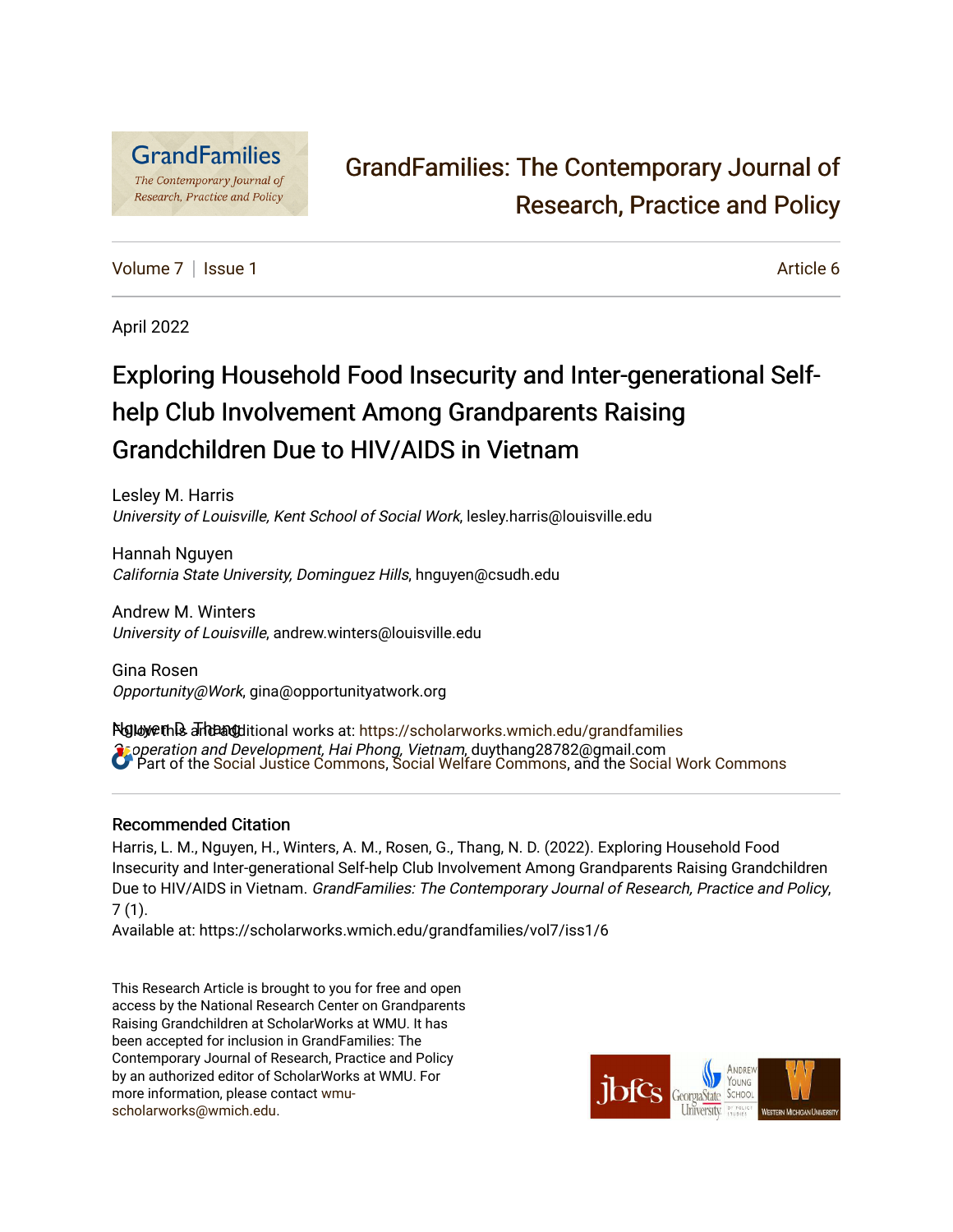

# [GrandFamilies: The Contemporary Journal of](https://scholarworks.wmich.edu/grandfamilies)  [Research, Practice and Policy](https://scholarworks.wmich.edu/grandfamilies)

[Volume 7](https://scholarworks.wmich.edu/grandfamilies/vol7) | [Issue 1](https://scholarworks.wmich.edu/grandfamilies/vol7/iss1) Article 6

April 2022

# Exploring Household Food Insecurity and Inter-generational Selfhelp Club Involvement Among Grandparents Raising Grandchildren Due to HIV/AIDS in Vietnam

Lesley M. Harris University of Louisville, Kent School of Social Work, lesley.harris@louisville.edu

Hannah Nguyen California State University, Dominguez Hills, hnguyen@csudh.edu

Andrew M. Winters University of Louisville, andrew.winters@louisville.edu

Gina Rosen Opportunity@Work, gina@opportunityatwork.org

Nglowethს and additional works at: [https://scholarworks.wmich.edu/grandfamilies](https://scholarworks.wmich.edu/grandfamilies?utm_source=scholarworks.wmich.edu%2Fgrandfamilies%2Fvol7%2Fiss1%2F6&utm_medium=PDF&utm_campaign=PDFCoverPages) **Cooperation and Development, Hai Phong, Vietnam, duythang28782@gmail.com** Part of the [Social Justice Commons,](http://network.bepress.com/hgg/discipline/1432?utm_source=scholarworks.wmich.edu%2Fgrandfamilies%2Fvol7%2Fiss1%2F6&utm_medium=PDF&utm_campaign=PDFCoverPages) [Social Welfare Commons](http://network.bepress.com/hgg/discipline/401?utm_source=scholarworks.wmich.edu%2Fgrandfamilies%2Fvol7%2Fiss1%2F6&utm_medium=PDF&utm_campaign=PDFCoverPages), and the [Social Work Commons](http://network.bepress.com/hgg/discipline/713?utm_source=scholarworks.wmich.edu%2Fgrandfamilies%2Fvol7%2Fiss1%2F6&utm_medium=PDF&utm_campaign=PDFCoverPages) 

## Recommended Citation

Harris, L. M., Nguyen, H., Winters, A. M., Rosen, G., Thang, N. D. (2022). Exploring Household Food Insecurity and Inter-generational Self-help Club Involvement Among Grandparents Raising Grandchildren Due to HIV/AIDS in Vietnam. GrandFamilies: The Contemporary Journal of Research, Practice and Policy, 7 (1).

Available at: https://scholarworks.wmich.edu/grandfamilies/vol7/iss1/6

This Research Article is brought to you for free and open access by the National Research Center on Grandparents Raising Grandchildren at ScholarWorks at WMU. It has been accepted for inclusion in GrandFamilies: The Contemporary Journal of Research, Practice and Policy by an authorized editor of ScholarWorks at WMU. For more information, please contact [wmu](mailto:wmu-scholarworks@wmich.edu)[scholarworks@wmich.edu.](mailto:wmu-scholarworks@wmich.edu)

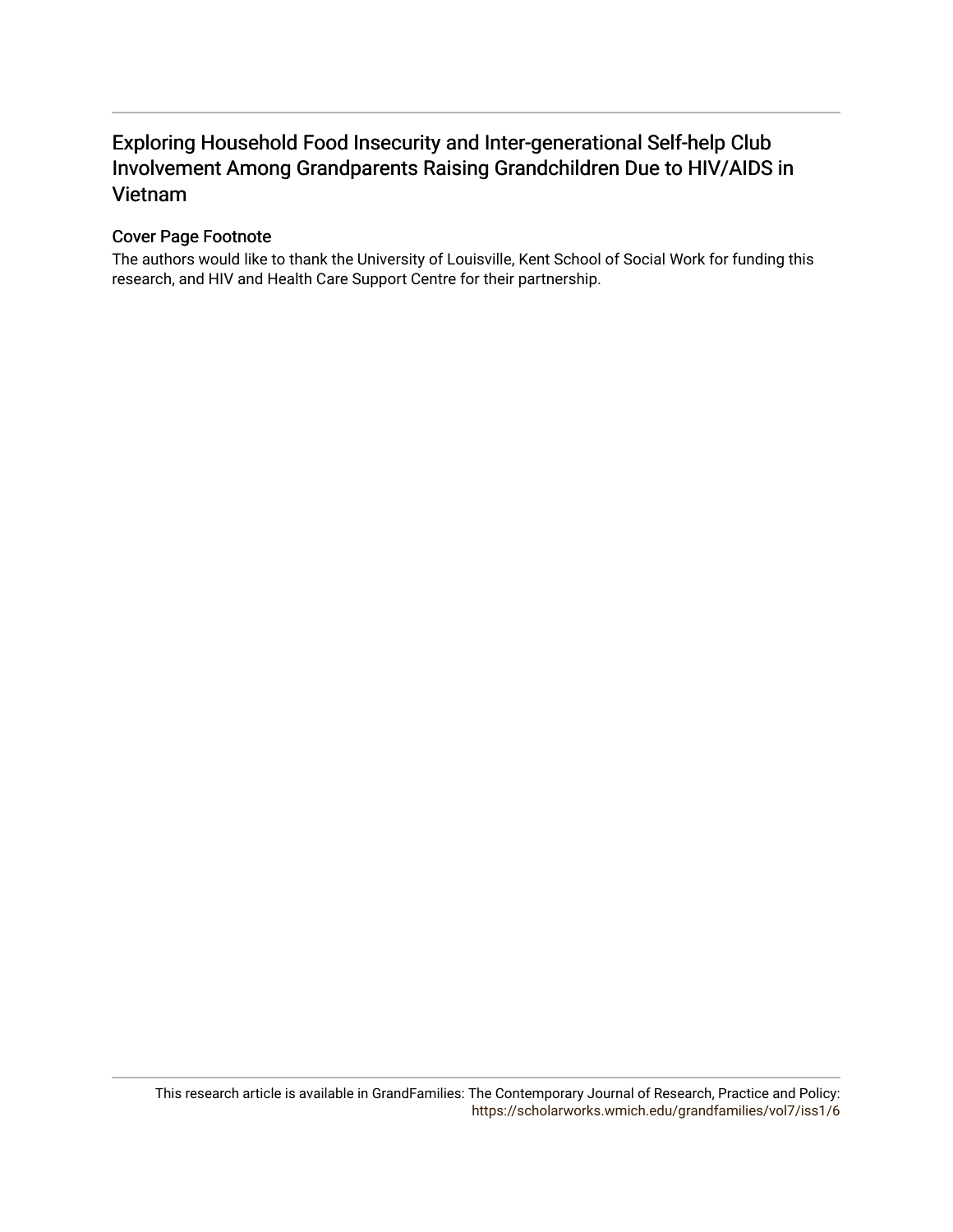# Exploring Household Food Insecurity and Inter-generational Self-help Club Involvement Among Grandparents Raising Grandchildren Due to HIV/AIDS in Vietnam

#### Cover Page Footnote

The authors would like to thank the University of Louisville, Kent School of Social Work for funding this research, and HIV and Health Care Support Centre for their partnership.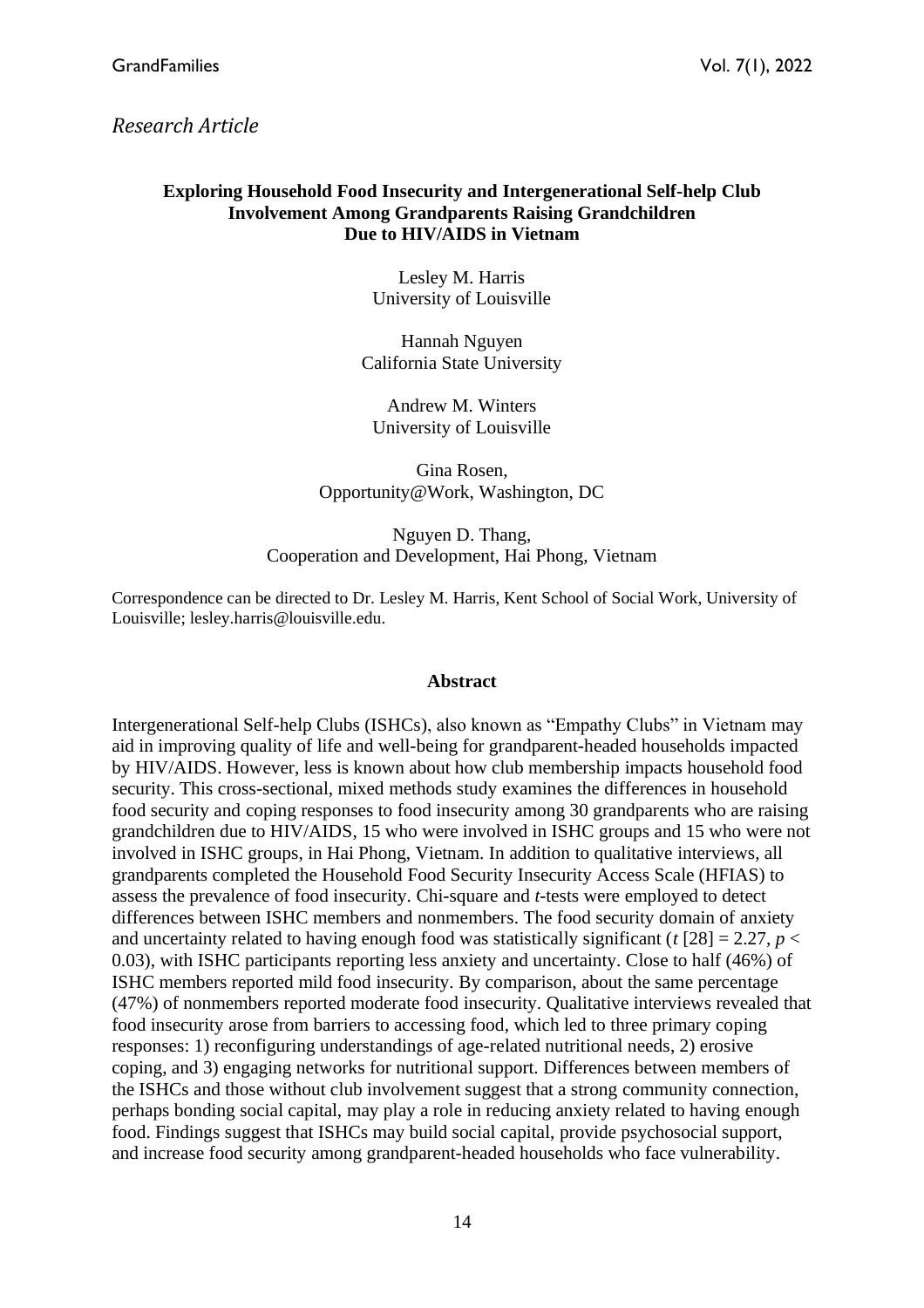# *Research Article*

## **Exploring Household Food Insecurity and Intergenerational Self-help Club Involvement Among Grandparents Raising Grandchildren Due to HIV/AIDS in Vietnam**

Lesley M. Harris University of Louisville

Hannah Nguyen California State University

Andrew M. Winters University of Louisville

Gina Rosen, Opportunity@Work, Washington, DC

Nguyen D. Thang, Cooperation and Development, Hai Phong, Vietnam

Correspondence can be directed to Dr. Lesley M. Harris, Kent School of Social Work, University of Louisville; lesley.harris@louisville.edu.

#### **Abstract**

Intergenerational Self-help Clubs (ISHCs), also known as "Empathy Clubs" in Vietnam may aid in improving quality of life and well-being for grandparent-headed households impacted by HIV/AIDS. However, less is known about how club membership impacts household food security. This cross-sectional, mixed methods study examines the differences in household food security and coping responses to food insecurity among 30 grandparents who are raising grandchildren due to HIV/AIDS, 15 who were involved in ISHC groups and 15 who were not involved in ISHC groups, in Hai Phong, Vietnam. In addition to qualitative interviews, all grandparents completed the Household Food Security Insecurity Access Scale (HFIAS) to assess the prevalence of food insecurity. Chi-square and *t*-tests were employed to detect differences between ISHC members and nonmembers. The food security domain of anxiety and uncertainty related to having enough food was statistically significant ( $t$  [28] = 2.27,  $p$  < 0.03), with ISHC participants reporting less anxiety and uncertainty. Close to half (46%) of ISHC members reported mild food insecurity. By comparison, about the same percentage (47%) of nonmembers reported moderate food insecurity. Qualitative interviews revealed that food insecurity arose from barriers to accessing food, which led to three primary coping responses: 1) reconfiguring understandings of age-related nutritional needs, 2) erosive coping, and 3) engaging networks for nutritional support. Differences between members of the ISHCs and those without club involvement suggest that a strong community connection, perhaps bonding social capital, may play a role in reducing anxiety related to having enough food. Findings suggest that ISHCs may build social capital, provide psychosocial support, and increase food security among grandparent-headed households who face vulnerability.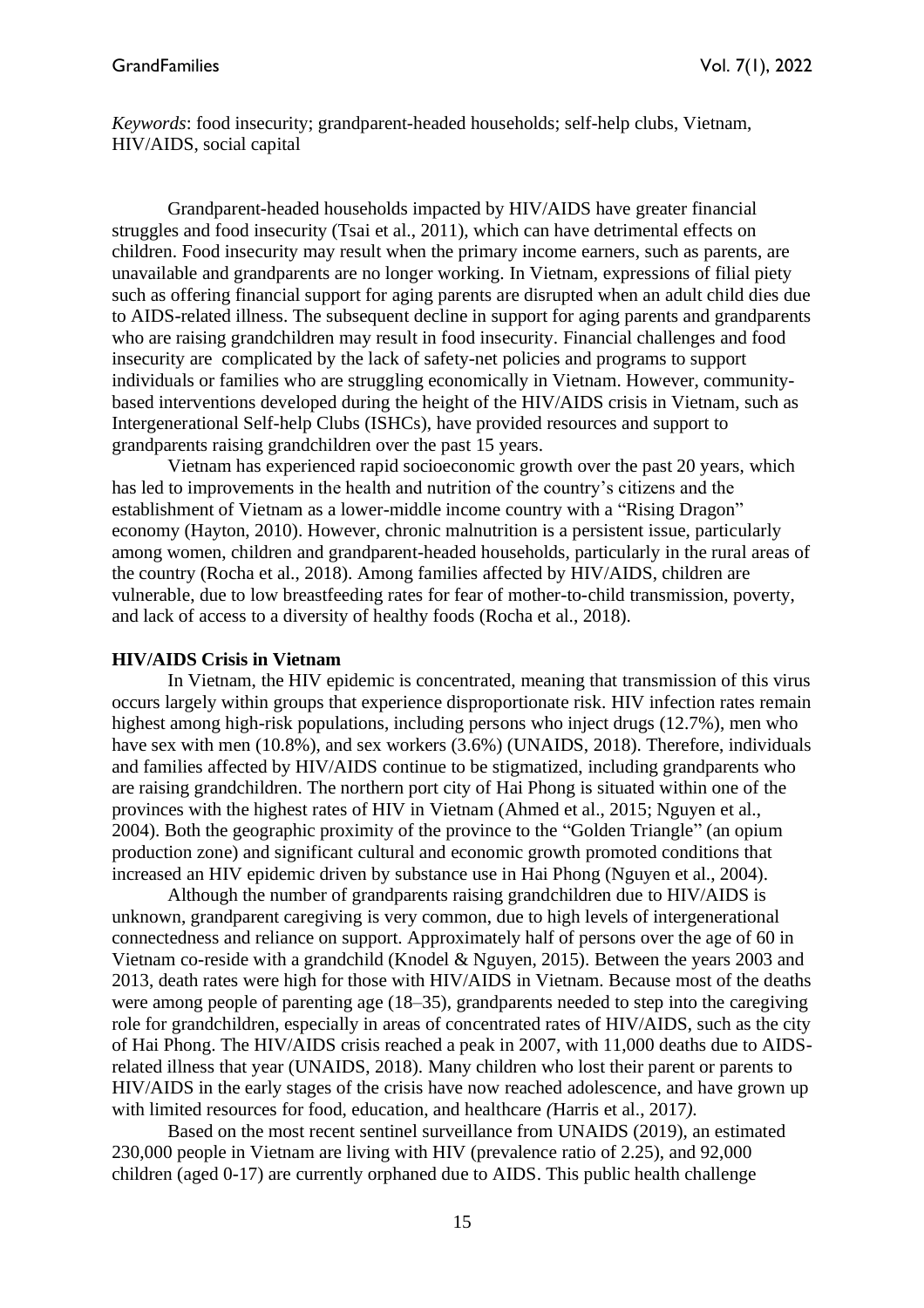*Keywords*: food insecurity; grandparent-headed households; self-help clubs, Vietnam, HIV/AIDS, social capital

Grandparent-headed households impacted by HIV/AIDS have greater financial struggles and food insecurity (Tsai et al., 2011), which can have detrimental effects on children. Food insecurity may result when the primary income earners, such as parents, are unavailable and grandparents are no longer working. In Vietnam, expressions of filial piety such as offering financial support for aging parents are disrupted when an adult child dies due to AIDS-related illness. The subsequent decline in support for aging parents and grandparents who are raising grandchildren may result in food insecurity. Financial challenges and food insecurity are complicated by the lack of safety-net policies and programs to support individuals or families who are struggling economically in Vietnam. However, communitybased interventions developed during the height of the HIV/AIDS crisis in Vietnam, such as Intergenerational Self-help Clubs (ISHCs), have provided resources and support to grandparents raising grandchildren over the past 15 years.

Vietnam has experienced rapid socioeconomic growth over the past 20 years, which has led to improvements in the health and nutrition of the country's citizens and the establishment of Vietnam as a lower-middle income country with a "Rising Dragon" economy (Hayton, 2010). However, chronic malnutrition is a persistent issue, particularly among women, children and grandparent-headed households, particularly in the rural areas of the country (Rocha et al., 2018). Among families affected by HIV/AIDS, children are vulnerable, due to low breastfeeding rates for fear of mother-to-child transmission, poverty, and lack of access to a diversity of healthy foods (Rocha et al., 2018).

#### **HIV/AIDS Crisis in Vietnam**

In Vietnam, the HIV epidemic is concentrated, meaning that transmission of this virus occurs largely within groups that experience disproportionate risk. HIV infection rates remain highest among high-risk populations, including persons who inject drugs (12.7%), men who have sex with men (10.8%), and sex workers (3.6%) (UNAIDS, 2018). Therefore, individuals and families affected by HIV/AIDS continue to be stigmatized, including grandparents who are raising grandchildren. The northern port city of Hai Phong is situated within one of the provinces with the highest rates of HIV in Vietnam (Ahmed et al., 2015; Nguyen et al., 2004). Both the geographic proximity of the province to the "Golden Triangle" (an opium production zone) and significant cultural and economic growth promoted conditions that increased an HIV epidemic driven by substance use in Hai Phong (Nguyen et al., 2004).

Although the number of grandparents raising grandchildren due to HIV/AIDS is unknown, grandparent caregiving is very common, due to high levels of intergenerational connectedness and reliance on support. Approximately half of persons over the age of 60 in Vietnam co-reside with a grandchild (Knodel & Nguyen, 2015). Between the years 2003 and 2013, death rates were high for those with HIV/AIDS in Vietnam. Because most of the deaths were among people of parenting age (18–35), grandparents needed to step into the caregiving role for grandchildren, especially in areas of concentrated rates of HIV/AIDS, such as the city of Hai Phong. The HIV/AIDS crisis reached a peak in 2007, with 11,000 deaths due to AIDSrelated illness that year (UNAIDS, 2018). Many children who lost their parent or parents to HIV/AIDS in the early stages of the crisis have now reached adolescence, and have grown up with limited resources for food, education, and healthcare *(*Harris et al., 2017*).*

Based on the most recent sentinel surveillance from UNAIDS (2019), an estimated 230,000 people in Vietnam are living with HIV (prevalence ratio of 2.25), and 92,000 children (aged 0-17) are currently orphaned due to AIDS. This public health challenge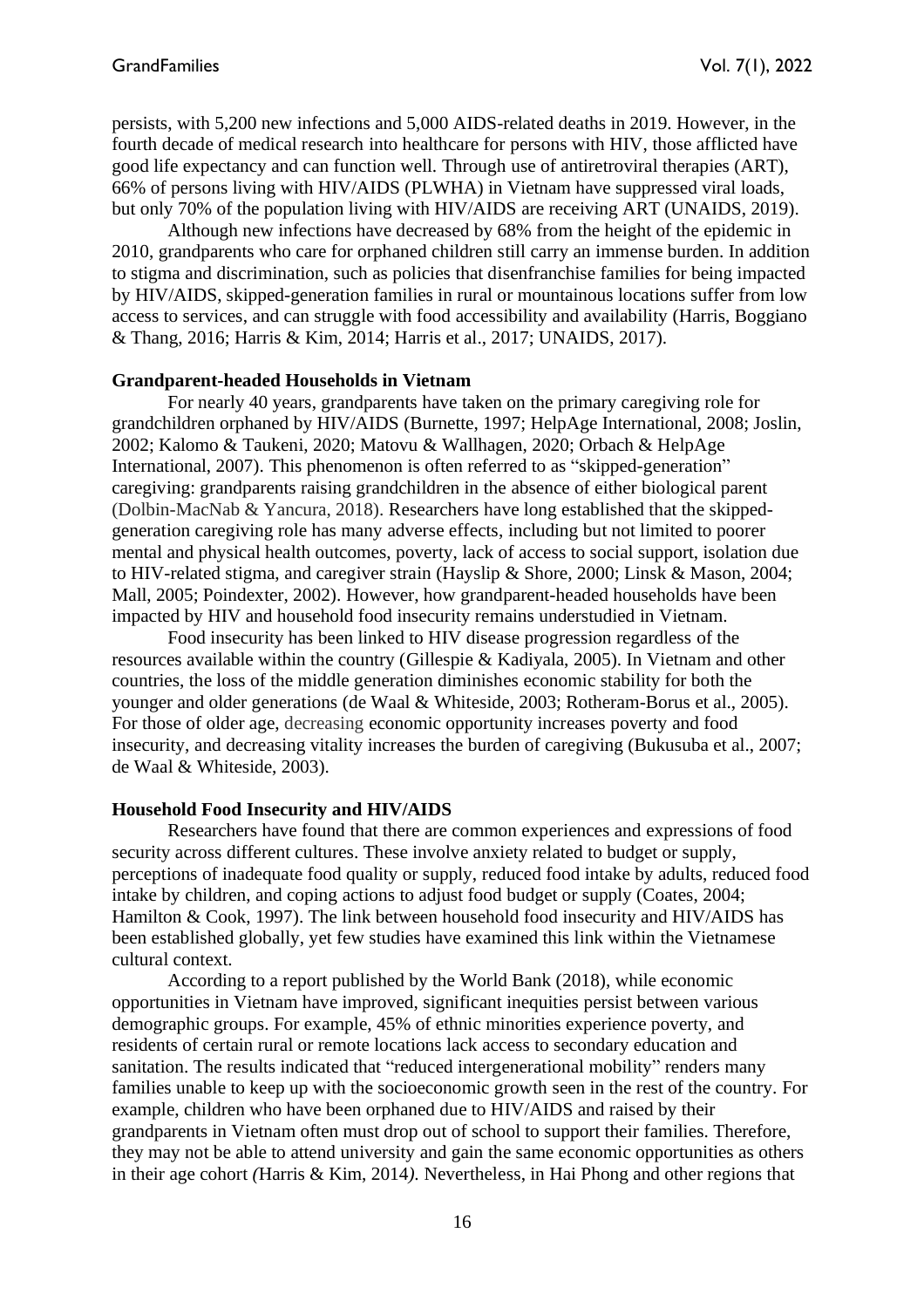persists, with 5,200 new infections and 5,000 AIDS-related deaths in 2019. However, in the fourth decade of medical research into healthcare for persons with HIV, those afflicted have good life expectancy and can function well. Through use of antiretroviral therapies (ART), 66% of persons living with HIV/AIDS (PLWHA) in Vietnam have suppressed viral loads, but only 70% of the population living with HIV/AIDS are receiving ART (UNAIDS, 2019).

Although new infections have decreased by 68% from the height of the epidemic in 2010, grandparents who care for orphaned children still carry an immense burden. In addition to stigma and discrimination, such as policies that disenfranchise families for being impacted by HIV/AIDS, skipped-generation families in rural or mountainous locations suffer from low access to services, and can struggle with food accessibility and availability (Harris, Boggiano & Thang, 2016; Harris & Kim, 2014; Harris et al., 2017; UNAIDS, 2017).

#### **Grandparent-headed Households in Vietnam**

For nearly 40 years, grandparents have taken on the primary caregiving role for grandchildren orphaned by HIV/AIDS (Burnette, 1997; HelpAge International, 2008; Joslin, 2002; Kalomo & Taukeni, 2020; Matovu & Wallhagen, 2020; Orbach & HelpAge International, 2007). This phenomenon is often referred to as "skipped-generation" caregiving: grandparents raising grandchildren in the absence of either biological parent (Dolbin-MacNab & Yancura, 2018). Researchers have long established that the skippedgeneration caregiving role has many adverse effects, including but not limited to poorer mental and physical health outcomes, poverty, lack of access to social support, isolation due to HIV-related stigma, and caregiver strain (Hayslip & Shore, 2000; Linsk & Mason, 2004; Mall, 2005; Poindexter, 2002). However, how grandparent-headed households have been impacted by HIV and household food insecurity remains understudied in Vietnam.

Food insecurity has been linked to HIV disease progression regardless of the resources available within the country (Gillespie & Kadiyala, 2005). In Vietnam and other countries, the loss of the middle generation diminishes economic stability for both the younger and older generations (de Waal & Whiteside, 2003; Rotheram-Borus et al., 2005). For those of older age, decreasing economic opportunity increases poverty and food insecurity, and decreasing vitality increases the burden of caregiving (Bukusuba et al., 2007; de Waal & Whiteside, 2003).

## **Household Food Insecurity and HIV/AIDS**

Researchers have found that there are common experiences and expressions of food security across different cultures. These involve anxiety related to budget or supply, perceptions of inadequate food quality or supply, reduced food intake by adults, reduced food intake by children, and coping actions to adjust food budget or supply (Coates, 2004; Hamilton & Cook, 1997). The link between household food insecurity and HIV/AIDS has been established globally, yet few studies have examined this link within the Vietnamese cultural context.

According to a report published by the World Bank (2018), while economic opportunities in Vietnam have improved, significant inequities persist between various demographic groups. For example, 45% of ethnic minorities experience poverty, and residents of certain rural or remote locations lack access to secondary education and sanitation. The results indicated that "reduced intergenerational mobility" renders many families unable to keep up with the socioeconomic growth seen in the rest of the country. For example, children who have been orphaned due to HIV/AIDS and raised by their grandparents in Vietnam often must drop out of school to support their families. Therefore, they may not be able to attend university and gain the same economic opportunities as others in their age cohort *(*Harris & Kim, 2014*).* Nevertheless, in Hai Phong and other regions that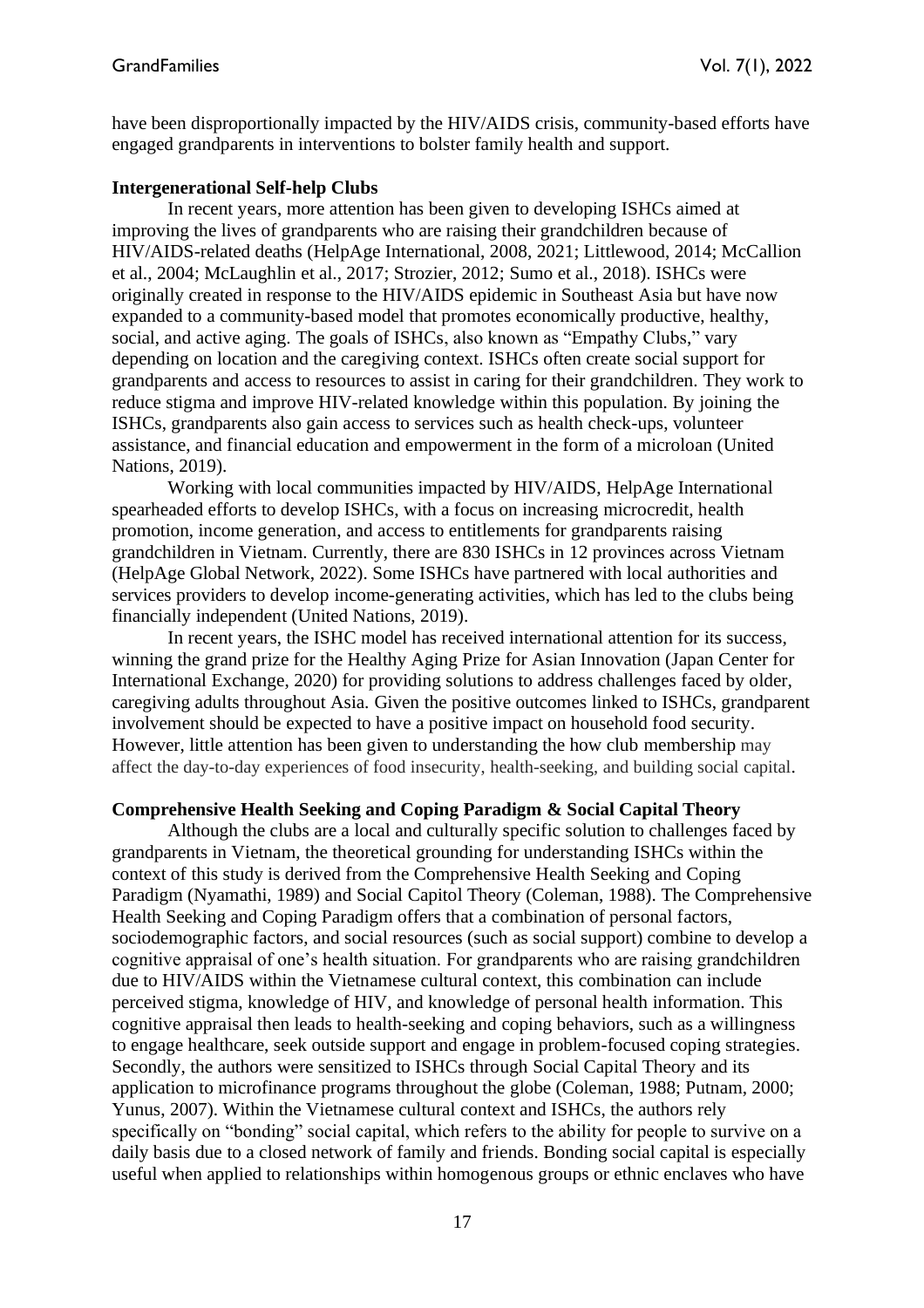have been disproportionally impacted by the HIV/AIDS crisis, community-based efforts have engaged grandparents in interventions to bolster family health and support.

#### **Intergenerational Self-help Clubs**

In recent years, more attention has been given to developing ISHCs aimed at improving the lives of grandparents who are raising their grandchildren because of HIV/AIDS-related deaths (HelpAge International, 2008, 2021; Littlewood, 2014; McCallion et al., 2004; McLaughlin et al., 2017; Strozier, 2012; Sumo et al., 2018). ISHCs were originally created in response to the HIV/AIDS epidemic in Southeast Asia but have now expanded to a community-based model that promotes economically productive, healthy, social, and active aging. The goals of ISHCs, also known as "Empathy Clubs," vary depending on location and the caregiving context. ISHCs often create social support for grandparents and access to resources to assist in caring for their grandchildren. They work to reduce stigma and improve HIV-related knowledge within this population. By joining the ISHCs, grandparents also gain access to services such as health check-ups, volunteer assistance, and financial education and empowerment in the form of a microloan (United Nations, 2019).

Working with local communities impacted by HIV/AIDS, HelpAge International spearheaded efforts to develop ISHCs, with a focus on increasing microcredit, health promotion, income generation, and access to entitlements for grandparents raising grandchildren in Vietnam. Currently, there are 830 ISHCs in 12 provinces across Vietnam (HelpAge Global Network, 2022). Some ISHCs have partnered with local authorities and services providers to develop income-generating activities, which has led to the clubs being financially independent (United Nations, 2019).

In recent years, the ISHC model has received international attention for its success, winning the grand prize for the Healthy Aging Prize for Asian Innovation (Japan Center for International Exchange, 2020) for providing solutions to address challenges faced by older, caregiving adults throughout Asia. Given the positive outcomes linked to ISHCs, grandparent involvement should be expected to have a positive impact on household food security. However, little attention has been given to understanding the how club membership may affect the day-to-day experiences of food insecurity, health-seeking, and building social capital.

#### **Comprehensive Health Seeking and Coping Paradigm & Social Capital Theory**

Although the clubs are a local and culturally specific solution to challenges faced by grandparents in Vietnam, the theoretical grounding for understanding ISHCs within the context of this study is derived from the Comprehensive Health Seeking and Coping Paradigm (Nyamathi, 1989) and Social Capitol Theory (Coleman, 1988). The Comprehensive Health Seeking and Coping Paradigm offers that a combination of personal factors, sociodemographic factors, and social resources (such as social support) combine to develop a cognitive appraisal of one's health situation. For grandparents who are raising grandchildren due to HIV/AIDS within the Vietnamese cultural context, this combination can include perceived stigma, knowledge of HIV, and knowledge of personal health information. This cognitive appraisal then leads to health-seeking and coping behaviors, such as a willingness to engage healthcare, seek outside support and engage in problem-focused coping strategies. Secondly, the authors were sensitized to ISHCs through Social Capital Theory and its application to microfinance programs throughout the globe (Coleman, 1988; Putnam, 2000; Yunus, 2007). Within the Vietnamese cultural context and ISHCs, the authors rely specifically on "bonding" social capital, which refers to the ability for people to survive on a daily basis due to a closed network of family and friends. Bonding social capital is especially useful when applied to relationships within homogenous groups or ethnic enclaves who have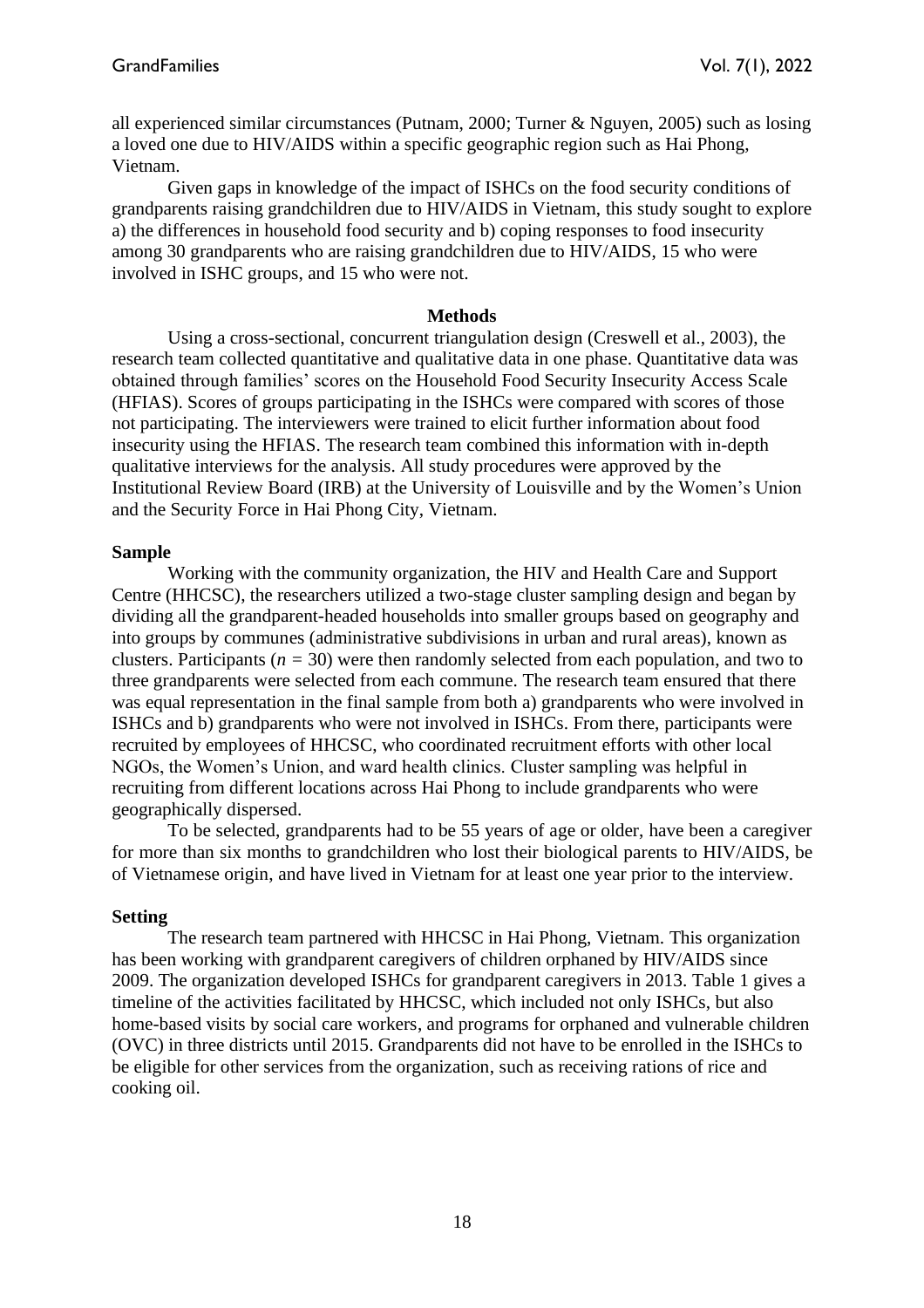all experienced similar circumstances (Putnam, 2000; Turner & Nguyen, 2005) such as losing a loved one due to HIV/AIDS within a specific geographic region such as Hai Phong, Vietnam.

Given gaps in knowledge of the impact of ISHCs on the food security conditions of grandparents raising grandchildren due to HIV/AIDS in Vietnam, this study sought to explore a) the differences in household food security and b) coping responses to food insecurity among 30 grandparents who are raising grandchildren due to HIV/AIDS, 15 who were involved in ISHC groups, and 15 who were not.

#### **Methods**

Using a cross-sectional, concurrent triangulation design (Creswell et al., 2003), the research team collected quantitative and qualitative data in one phase. Quantitative data was obtained through families' scores on the Household Food Security Insecurity Access Scale (HFIAS). Scores of groups participating in the ISHCs were compared with scores of those not participating. The interviewers were trained to elicit further information about food insecurity using the HFIAS. The research team combined this information with in-depth qualitative interviews for the analysis. All study procedures were approved by the Institutional Review Board (IRB) at the University of Louisville and by the Women's Union and the Security Force in Hai Phong City, Vietnam.

## **Sample**

Working with the community organization, the HIV and Health Care and Support Centre (HHCSC), the researchers utilized a two-stage cluster sampling design and began by dividing all the grandparent-headed households into smaller groups based on geography and into groups by communes (administrative subdivisions in urban and rural areas), known as clusters. Participants ( $n = 30$ ) were then randomly selected from each population, and two to three grandparents were selected from each commune. The research team ensured that there was equal representation in the final sample from both a) grandparents who were involved in ISHCs and b) grandparents who were not involved in ISHCs. From there, participants were recruited by employees of HHCSC, who coordinated recruitment efforts with other local NGOs, the Women's Union, and ward health clinics. Cluster sampling was helpful in recruiting from different locations across Hai Phong to include grandparents who were geographically dispersed.

To be selected, grandparents had to be 55 years of age or older, have been a caregiver for more than six months to grandchildren who lost their biological parents to HIV/AIDS, be of Vietnamese origin, and have lived in Vietnam for at least one year prior to the interview.

## **Setting**

The research team partnered with HHCSC in Hai Phong, Vietnam. This organization has been working with grandparent caregivers of children orphaned by HIV/AIDS since 2009. The organization developed ISHCs for grandparent caregivers in 2013. Table 1 gives a timeline of the activities facilitated by HHCSC, which included not only ISHCs, but also home-based visits by social care workers, and programs for orphaned and vulnerable children (OVC) in three districts until 2015. Grandparents did not have to be enrolled in the ISHCs to be eligible for other services from the organization, such as receiving rations of rice and cooking oil.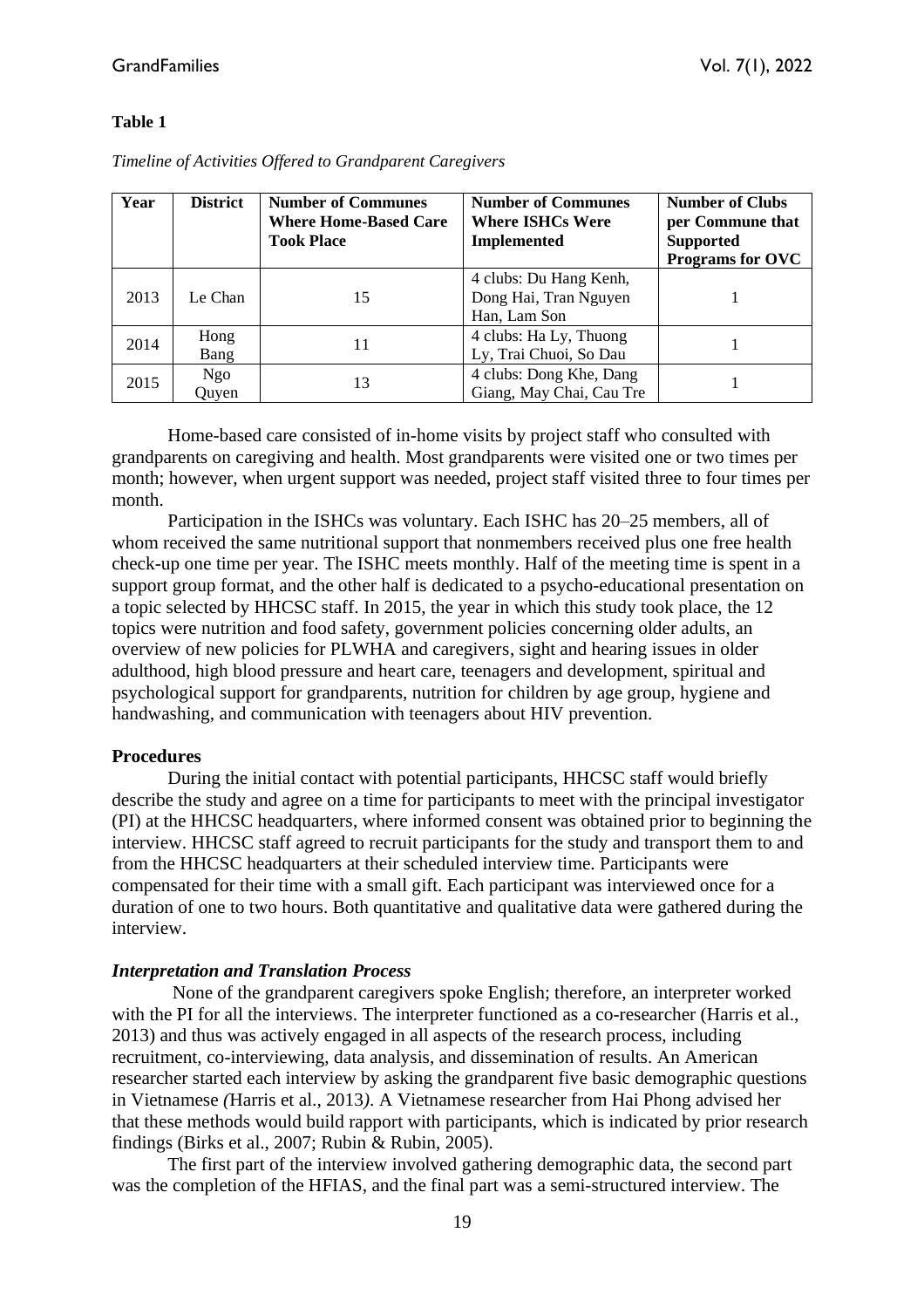#### **Table 1**

| Year | <b>District</b> | <b>Number of Communes</b><br><b>Where Home-Based Care</b><br><b>Took Place</b> | <b>Number of Communes</b><br><b>Where ISHCs Were</b><br><b>Implemented</b> | <b>Number of Clubs</b><br>per Commune that<br><b>Supported</b><br><b>Programs for OVC</b> |
|------|-----------------|--------------------------------------------------------------------------------|----------------------------------------------------------------------------|-------------------------------------------------------------------------------------------|
| 2013 | Le Chan         | 15                                                                             | 4 clubs: Du Hang Kenh,<br>Dong Hai, Tran Nguyen<br>Han, Lam Son            |                                                                                           |
| 2014 | Hong<br>Bang    | 11                                                                             | 4 clubs: Ha Ly, Thuong<br>Ly, Trai Chuoi, So Dau                           |                                                                                           |
| 2015 | Ngo<br>Ouven    | 13                                                                             | 4 clubs: Dong Khe, Dang<br>Giang, May Chai, Cau Tre                        |                                                                                           |

*Timeline of Activities Offered to Grandparent Caregivers*

Home-based care consisted of in-home visits by project staff who consulted with grandparents on caregiving and health. Most grandparents were visited one or two times per month; however, when urgent support was needed, project staff visited three to four times per month.

Participation in the ISHCs was voluntary. Each ISHC has 20–25 members, all of whom received the same nutritional support that nonmembers received plus one free health check-up one time per year. The ISHC meets monthly. Half of the meeting time is spent in a support group format, and the other half is dedicated to a psycho-educational presentation on a topic selected by HHCSC staff. In 2015, the year in which this study took place, the 12 topics were nutrition and food safety, government policies concerning older adults, an overview of new policies for PLWHA and caregivers, sight and hearing issues in older adulthood, high blood pressure and heart care, teenagers and development, spiritual and psychological support for grandparents, nutrition for children by age group, hygiene and handwashing, and communication with teenagers about HIV prevention.

#### **Procedures**

During the initial contact with potential participants, HHCSC staff would briefly describe the study and agree on a time for participants to meet with the principal investigator (PI) at the HHCSC headquarters, where informed consent was obtained prior to beginning the interview. HHCSC staff agreed to recruit participants for the study and transport them to and from the HHCSC headquarters at their scheduled interview time. Participants were compensated for their time with a small gift. Each participant was interviewed once for a duration of one to two hours. Both quantitative and qualitative data were gathered during the interview.

#### *Interpretation and Translation Process*

None of the grandparent caregivers spoke English; therefore, an interpreter worked with the PI for all the interviews. The interpreter functioned as a co-researcher (Harris et al., 2013) and thus was actively engaged in all aspects of the research process, including recruitment, co-interviewing, data analysis, and dissemination of results. An American researcher started each interview by asking the grandparent five basic demographic questions in Vietnamese *(*Harris et al., 2013*)*. A Vietnamese researcher from Hai Phong advised her that these methods would build rapport with participants, which is indicated by prior research findings (Birks et al., 2007; Rubin & Rubin, 2005).

The first part of the interview involved gathering demographic data, the second part was the completion of the HFIAS, and the final part was a semi-structured interview. The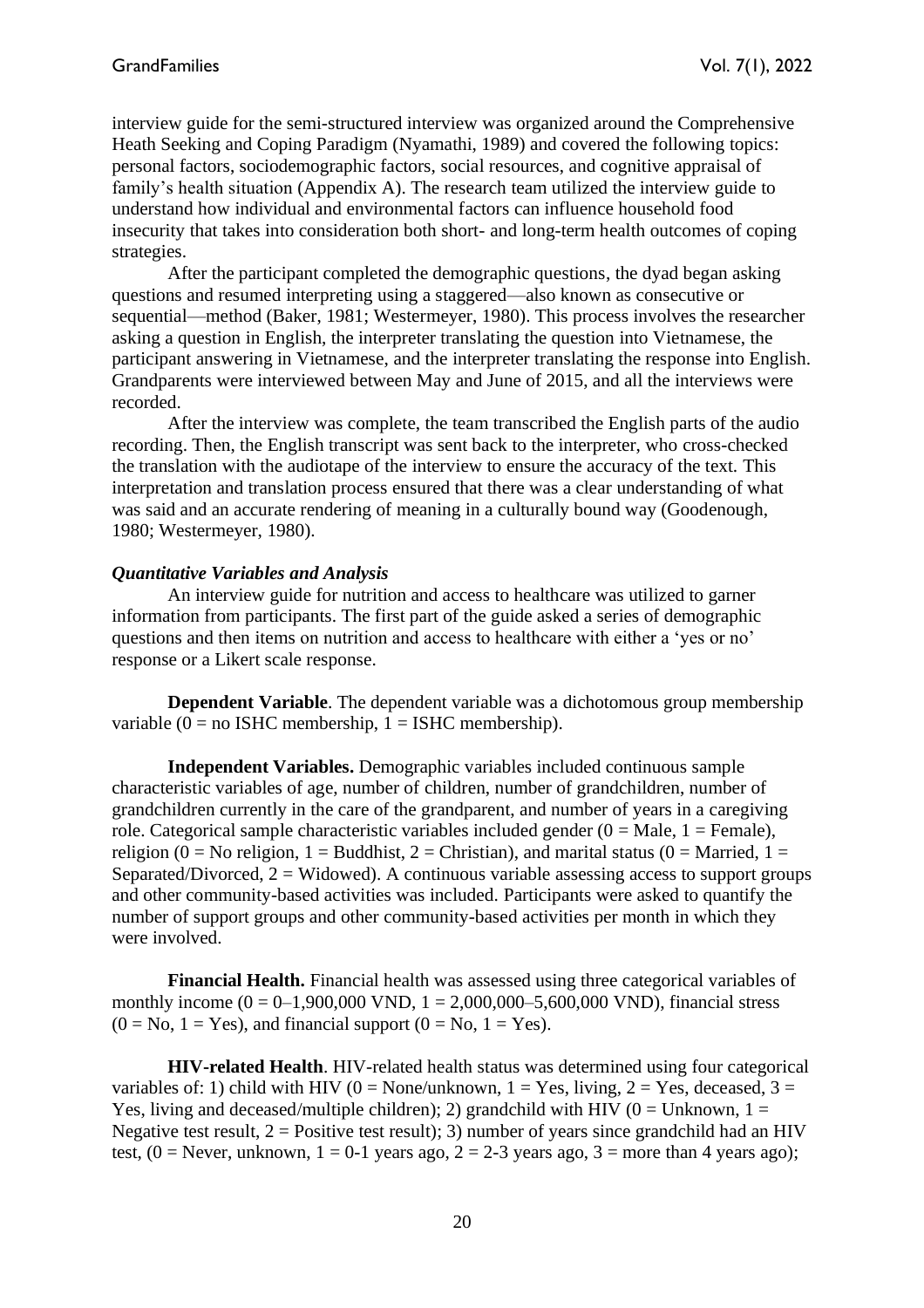interview guide for the semi-structured interview was organized around the Comprehensive Heath Seeking and Coping Paradigm (Nyamathi, 1989) and covered the following topics: personal factors, sociodemographic factors, social resources, and cognitive appraisal of family's health situation (Appendix A). The research team utilized the interview guide to understand how individual and environmental factors can influence household food insecurity that takes into consideration both short- and long-term health outcomes of coping strategies.

After the participant completed the demographic questions, the dyad began asking questions and resumed interpreting using a staggered—also known as consecutive or sequential—method (Baker, 1981; Westermeyer, 1980). This process involves the researcher asking a question in English, the interpreter translating the question into Vietnamese, the participant answering in Vietnamese, and the interpreter translating the response into English. Grandparents were interviewed between May and June of 2015, and all the interviews were recorded.

After the interview was complete, the team transcribed the English parts of the audio recording. Then, the English transcript was sent back to the interpreter, who cross-checked the translation with the audiotape of the interview to ensure the accuracy of the text. This interpretation and translation process ensured that there was a clear understanding of what was said and an accurate rendering of meaning in a culturally bound way (Goodenough, 1980; Westermeyer, 1980).

#### *Quantitative Variables and Analysis*

An interview guide for nutrition and access to healthcare was utilized to garner information from participants. The first part of the guide asked a series of demographic questions and then items on nutrition and access to healthcare with either a 'yes or no' response or a Likert scale response.

**Dependent Variable**. The dependent variable was a dichotomous group membership variable (0 = no ISHC membership,  $1 =$  ISHC membership).

**Independent Variables.** Demographic variables included continuous sample characteristic variables of age, number of children, number of grandchildren, number of grandchildren currently in the care of the grandparent, and number of years in a caregiving role. Categorical sample characteristic variables included gender  $(0 = Male, 1 = Female)$ , religion (0 = No religion, 1 = Buddhist, 2 = Christian), and marital status (0 = Married, 1 = Separated/Divorced,  $2 = Widowed$ ). A continuous variable assessing access to support groups and other community-based activities was included. Participants were asked to quantify the number of support groups and other community-based activities per month in which they were involved.

**Financial Health.** Financial health was assessed using three categorical variables of monthly income  $(0 = 0 - 1,900,000 \text{ VND}, 1 = 2,000,000 - 5,600,000 \text{ VND})$ , financial stress  $(0 = No, 1 = Yes)$ , and financial support  $(0 = No, 1 = Yes)$ .

**HIV-related Health**. HIV-related health status was determined using four categorical variables of: 1) child with HIV ( $0 = \text{None/unknown}$ ,  $1 = \text{Yes}$ , living,  $2 = \text{Yes}$ , deceased,  $3 =$ Yes, living and deceased/multiple children); 2) grandchild with HIV ( $0 =$  Unknown,  $1 =$ Negative test result,  $2 =$  Positive test result); 3) number of vears since grandchild had an HIV test,  $(0 =$  Never, unknown,  $1 = 0$ -1 years ago,  $2 = 2$ -3 years ago,  $3 =$  more than 4 years ago);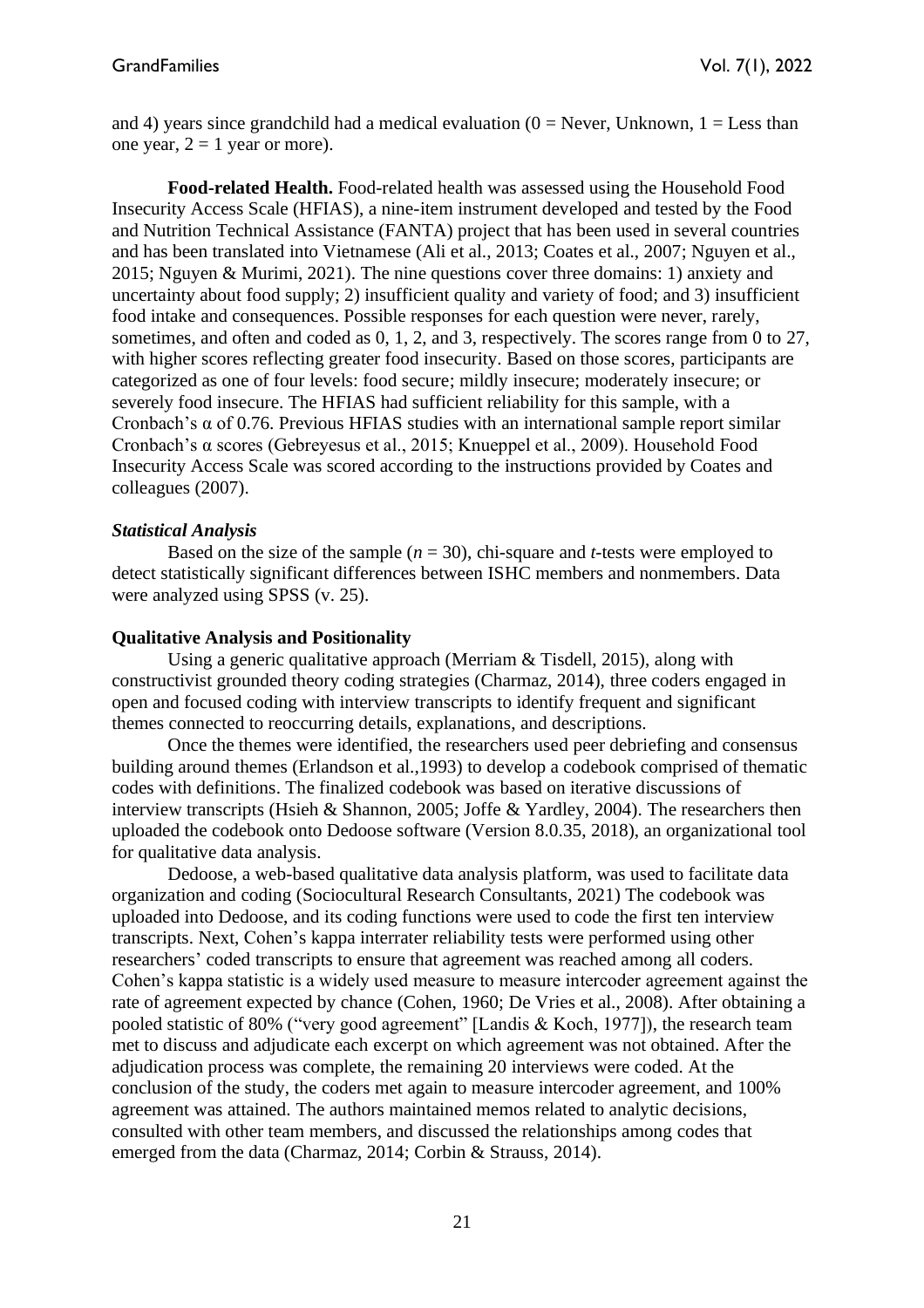and 4) years since grandchild had a medical evaluation ( $0 =$  Never, Unknown,  $1 =$  Less than one year,  $2 = 1$  year or more).

**Food-related Health.** Food-related health was assessed using the Household Food Insecurity Access Scale (HFIAS), a nine-item instrument developed and tested by the Food and Nutrition Technical Assistance (FANTA) project that has been used in several countries and has been translated into Vietnamese (Ali et al., 2013; Coates et al., 2007; Nguyen et al., 2015; Nguyen & Murimi, 2021). The nine questions cover three domains: 1) anxiety and uncertainty about food supply; 2) insufficient quality and variety of food; and 3) insufficient food intake and consequences. Possible responses for each question were never, rarely, sometimes, and often and coded as 0, 1, 2, and 3, respectively. The scores range from 0 to 27, with higher scores reflecting greater food insecurity. Based on those scores, participants are categorized as one of four levels: food secure; mildly insecure; moderately insecure; or severely food insecure. The HFIAS had sufficient reliability for this sample, with a Cronbach's  $\alpha$  of 0.76. Previous HFIAS studies with an international sample report similar Cronbach's α scores (Gebreyesus et al., 2015; Knueppel et al., 2009). Household Food Insecurity Access Scale was scored according to the instructions provided by Coates and colleagues (2007).

#### *Statistical Analysis*

Based on the size of the sample  $(n = 30)$ , chi-square and *t*-tests were employed to detect statistically significant differences between ISHC members and nonmembers. Data were analyzed using SPSS (v. 25).

#### **Qualitative Analysis and Positionality**

Using a generic qualitative approach (Merriam & Tisdell, 2015), along with constructivist grounded theory coding strategies (Charmaz, 2014), three coders engaged in open and focused coding with interview transcripts to identify frequent and significant themes connected to reoccurring details, explanations, and descriptions.

Once the themes were identified, the researchers used peer debriefing and consensus building around themes (Erlandson et al.,1993) to develop a codebook comprised of thematic codes with definitions. The finalized codebook was based on iterative discussions of interview transcripts (Hsieh & Shannon, 2005; Joffe & Yardley, 2004). The researchers then uploaded the codebook onto Dedoose software (Version 8.0.35, 2018), an organizational tool for qualitative data analysis.

Dedoose, a web-based qualitative data analysis platform, was used to facilitate data organization and coding (Sociocultural Research Consultants, 2021) The codebook was uploaded into Dedoose, and its coding functions were used to code the first ten interview transcripts. Next, Cohen's kappa interrater reliability tests were performed using other researchers' coded transcripts to ensure that agreement was reached among all coders. Cohen's kappa statistic is a widely used measure to measure intercoder agreement against the rate of agreement expected by chance (Cohen, 1960; De Vries et al., 2008). After obtaining a pooled statistic of 80% ("very good agreement" [Landis & Koch, 1977]), the research team met to discuss and adjudicate each excerpt on which agreement was not obtained. After the adjudication process was complete, the remaining 20 interviews were coded. At the conclusion of the study, the coders met again to measure intercoder agreement, and 100% agreement was attained. The authors maintained memos related to analytic decisions, consulted with other team members, and discussed the relationships among codes that emerged from the data (Charmaz, 2014; Corbin & Strauss, 2014).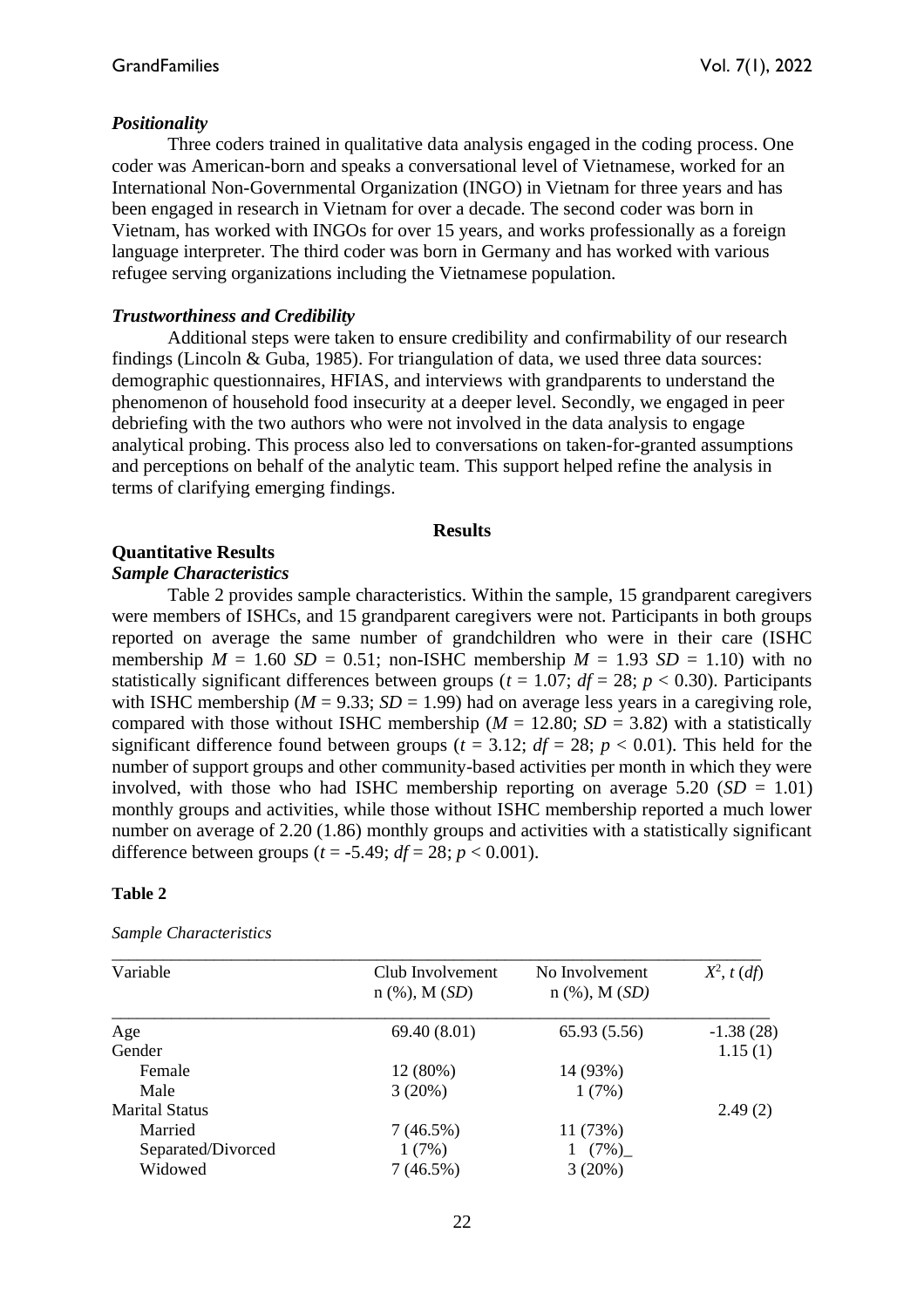## *Positionality*

Three coders trained in qualitative data analysis engaged in the coding process. One coder was American-born and speaks a conversational level of Vietnamese, worked for an International Non-Governmental Organization (INGO) in Vietnam for three years and has been engaged in research in Vietnam for over a decade. The second coder was born in Vietnam, has worked with INGOs for over 15 years, and works professionally as a foreign language interpreter. The third coder was born in Germany and has worked with various refugee serving organizations including the Vietnamese population.

## *Trustworthiness and Credibility*

Additional steps were taken to ensure credibility and confirmability of our research findings (Lincoln & Guba, 1985). For triangulation of data, we used three data sources: demographic questionnaires, HFIAS, and interviews with grandparents to understand the phenomenon of household food insecurity at a deeper level. Secondly, we engaged in peer debriefing with the two authors who were not involved in the data analysis to engage analytical probing. This process also led to conversations on taken-for-granted assumptions and perceptions on behalf of the analytic team. This support helped refine the analysis in terms of clarifying emerging findings.

#### **Results**

# **Quantitative Results**

## *Sample Characteristics*

Table 2 provides sample characteristics. Within the sample, 15 grandparent caregivers were members of ISHCs, and 15 grandparent caregivers were not. Participants in both groups reported on average the same number of grandchildren who were in their care (ISHC membership  $M = 1.60$  *SD* = 0.51; non-ISHC membership  $M = 1.93$  *SD* = 1.10) with no statistically significant differences between groups ( $t = 1.07$ ;  $df = 28$ ;  $p < 0.30$ ). Participants with ISHC membership ( $M = 9.33$ ;  $SD = 1.99$ ) had on average less years in a caregiving role, compared with those without ISHC membership ( $M = 12.80$ ;  $SD = 3.82$ ) with a statistically significant difference found between groups ( $t = 3.12$ ;  $df = 28$ ;  $p < 0.01$ ). This held for the number of support groups and other community-based activities per month in which they were involved, with those who had ISHC membership reporting on average  $5.20$  (*SD* = 1.01) monthly groups and activities, while those without ISHC membership reported a much lower number on average of 2.20 (1.86) monthly groups and activities with a statistically significant difference between groups ( $t = -5.49$ ;  $df = 28$ ;  $p < 0.001$ ).

## **Table 2**

#### *Sample Characteristics*

| Variable              | Club Involvement<br>$n$ (%), M $(SD)$ | No Involvement<br>$n$ (%), M ( <i>SD</i> ) | $X^2$ , t (df) |
|-----------------------|---------------------------------------|--------------------------------------------|----------------|
| Age                   | 69.40(8.01)                           | 65.93 (5.56)                               | $-1.38(28)$    |
| Gender                |                                       |                                            | 1.15(1)        |
| Female                | 12(80%)                               | 14 (93%)                                   |                |
| Male                  | 3(20%)                                | 1(7%)                                      |                |
| <b>Marital Status</b> |                                       |                                            | 2.49(2)        |
| Married               | 7(46.5%)                              | 11(73%)                                    |                |
| Separated/Divorced    | 1(7%)                                 | 1 $(7\%)$                                  |                |
| Widowed               | 7(46.5%)                              | 3(20%)                                     |                |
|                       |                                       |                                            |                |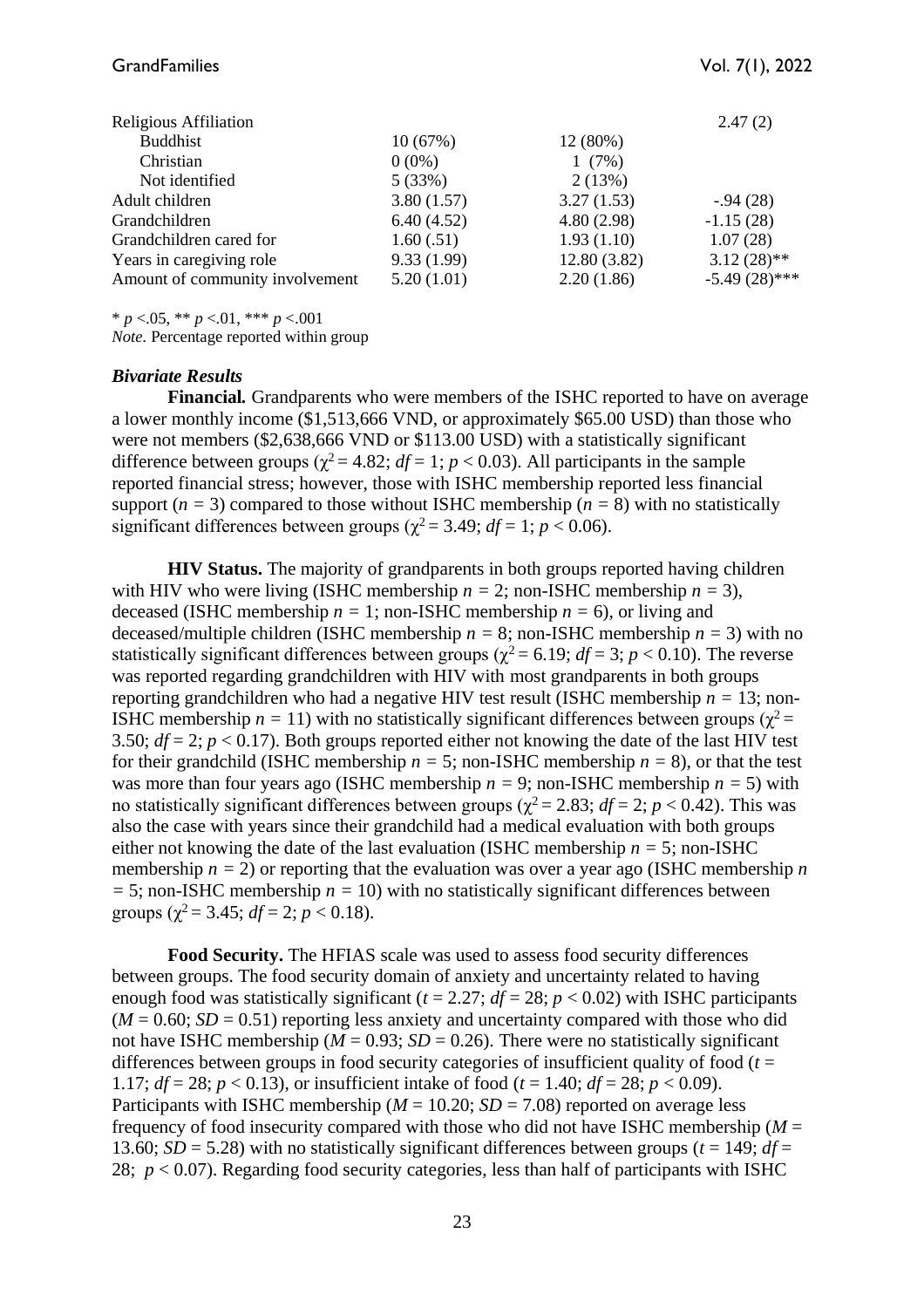| Religious Affiliation           |            |             | 2.47(2)         |
|---------------------------------|------------|-------------|-----------------|
| <b>Buddhist</b>                 | 10(67%)    | 12(80%)     |                 |
| Christian                       | $0(0\%)$   | 1(7%)       |                 |
| Not identified                  | 5(33%)     | 2(13%)      |                 |
| Adult children                  | 3.80(1.57) | 3.27(1.53)  | $-0.94(28)$     |
| Grandchildren                   | 6.40(4.52) | 4.80(2.98)  | $-1.15(28)$     |
| Grandchildren cared for         | 1.60(.51)  | 1.93(1.10)  | 1.07(28)        |
| Years in caregiving role        | 9.33(1.99) | 12.80(3.82) | $3.12(28)$ **   |
| Amount of community involvement | 5.20(1.01) | 2.20(1.86)  | $-5.49(28)$ *** |

\* *p* <.05, \*\* *p* <.01, \*\*\* *p* <.001

*Note.* Percentage reported within group

#### *Bivariate Results*

**Financial***.* Grandparents who were members of the ISHC reported to have on average a lower monthly income (\$1,513,666 VND, or approximately \$65.00 USD) than those who were not members (\$2,638,666 VND or \$113.00 USD) with a statistically significant difference between groups ( $\chi^2$  = 4.82; *df* = 1; *p* < 0.03). All participants in the sample reported financial stress; however, those with ISHC membership reported less financial support ( $n = 3$ ) compared to those without ISHC membership ( $n = 8$ ) with no statistically significant differences between groups ( $\chi^2$  = 3.49; *df* = 1; *p* < 0.06).

**HIV Status.** The majority of grandparents in both groups reported having children with HIV who were living (ISHC membership  $n = 2$ ; non-ISHC membership  $n = 3$ ), deceased (ISHC membership  $n = 1$ ; non-ISHC membership  $n = 6$ ), or living and deceased/multiple children (ISHC membership  $n = 8$ ; non-ISHC membership  $n = 3$ ) with no statistically significant differences between groups ( $\gamma^2$  = 6.19; *df* = 3; *p* < 0.10). The reverse was reported regarding grandchildren with HIV with most grandparents in both groups reporting grandchildren who had a negative HIV test result (ISHC membership  $n = 13$ ; non-ISHC membership  $n = 11$ ) with no statistically significant differences between groups ( $\chi^2$  = 3.50;  $df = 2$ ;  $p < 0.17$ ). Both groups reported either not knowing the date of the last HIV test for their grandchild (ISHC membership  $n = 5$ ; non-ISHC membership  $n = 8$ ), or that the test was more than four years ago (ISHC membership  $n = 9$ ; non-ISHC membership  $n = 5$ ) with no statistically significant differences between groups ( $\chi^2$  = 2.83; *df* = 2; *p* < 0.42). This was also the case with years since their grandchild had a medical evaluation with both groups either not knowing the date of the last evaluation (ISHC membership  $n = 5$ ; non-ISHC membership  $n = 2$ ) or reporting that the evaluation was over a year ago (ISHC membership *n =* 5; non-ISHC membership *n =* 10) with no statistically significant differences between groups ( $\gamma^2$  = 3.45; *df* = 2; *p* < 0.18).

**Food Security.** The HFIAS scale was used to assess food security differences between groups. The food security domain of anxiety and uncertainty related to having enough food was statistically significant ( $t = 2.27$ ;  $df = 28$ ;  $p < 0.02$ ) with ISHC participants  $(M = 0.60; SD = 0.51)$  reporting less anxiety and uncertainty compared with those who did not have ISHC membership ( $M = 0.93$ ;  $SD = 0.26$ ). There were no statistically significant differences between groups in food security categories of insufficient quality of food (*t* = 1.17;  $df = 28$ ;  $p < 0.13$ ), or insufficient intake of food ( $t = 1.40$ ;  $df = 28$ ;  $p < 0.09$ ). Participants with ISHC membership ( $M = 10.20$ ;  $SD = 7.08$ ) reported on average less frequency of food insecurity compared with those who did not have ISHC membership (*M* = 13.60; *SD* = 5.28) with no statistically significant differences between groups ( $t = 149$ ;  $df =$ 28;  $p < 0.07$ ). Regarding food security categories, less than half of participants with ISHC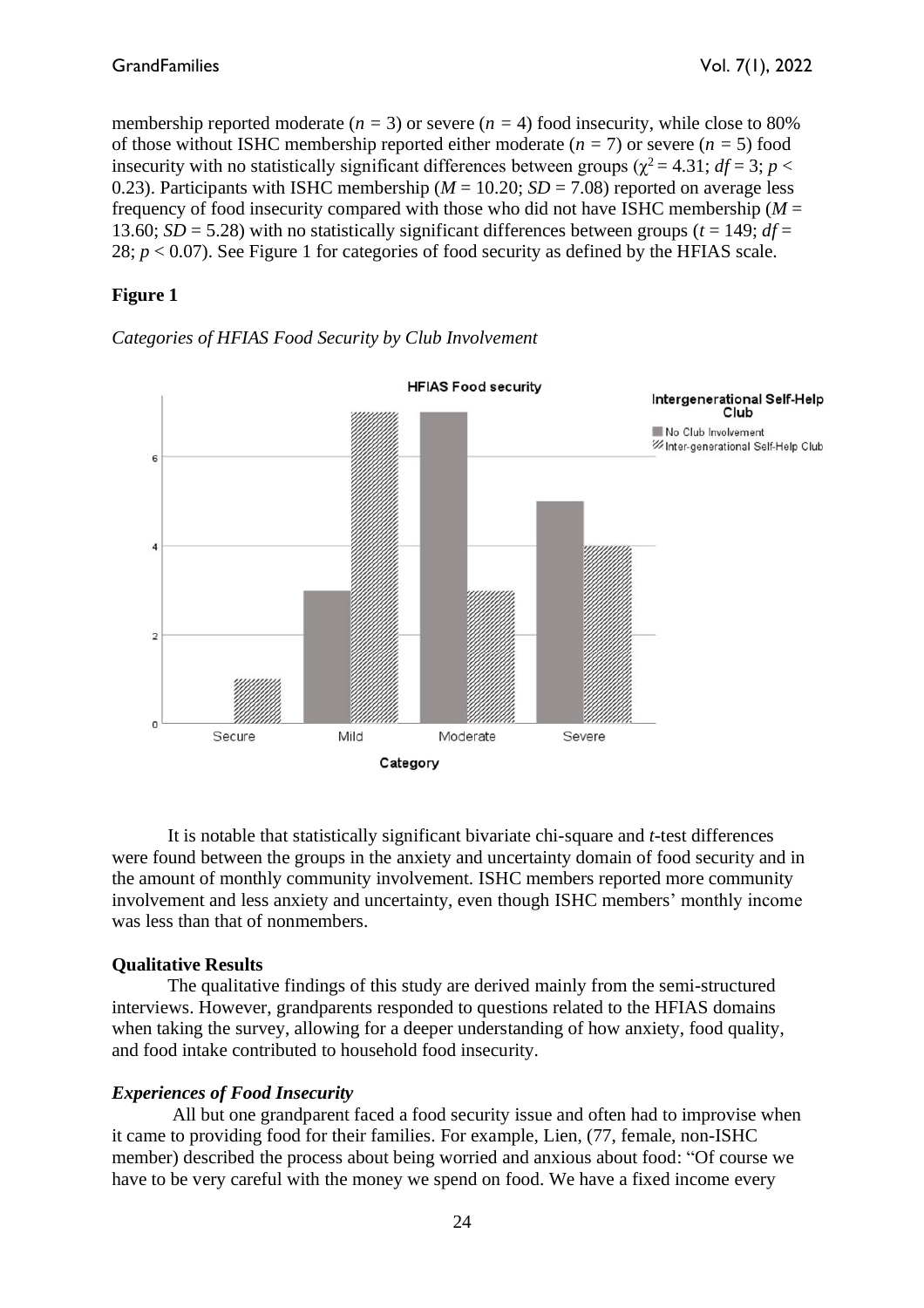membership reported moderate  $(n = 3)$  or severe  $(n = 4)$  food insecurity, while close to 80% of those without ISHC membership reported either moderate  $(n = 7)$  or severe  $(n = 5)$  food insecurity with no statistically significant differences between groups ( $\chi^2 = 4.31$ ; *df* = 3; *p* < 0.23). Participants with ISHC membership ( $M = 10.20$ ;  $SD = 7.08$ ) reported on average less frequency of food insecurity compared with those who did not have ISHC membership (*M* = 13.60; *SD* = 5.28) with no statistically significant differences between groups ( $t = 149$ ;  $df =$ 28;  $p < 0.07$ ). See Figure 1 for categories of food security as defined by the HFIAS scale.

# **Figure 1**





It is notable that statistically significant bivariate chi-square and *t*-test differences were found between the groups in the anxiety and uncertainty domain of food security and in the amount of monthly community involvement. ISHC members reported more community involvement and less anxiety and uncertainty, even though ISHC members' monthly income was less than that of nonmembers.

# **Qualitative Results**

The qualitative findings of this study are derived mainly from the semi-structured interviews. However, grandparents responded to questions related to the HFIAS domains when taking the survey, allowing for a deeper understanding of how anxiety, food quality, and food intake contributed to household food insecurity.

# *Experiences of Food Insecurity*

All but one grandparent faced a food security issue and often had to improvise when it came to providing food for their families. For example, Lien, (77, female, non-ISHC member) described the process about being worried and anxious about food: "Of course we have to be very careful with the money we spend on food. We have a fixed income every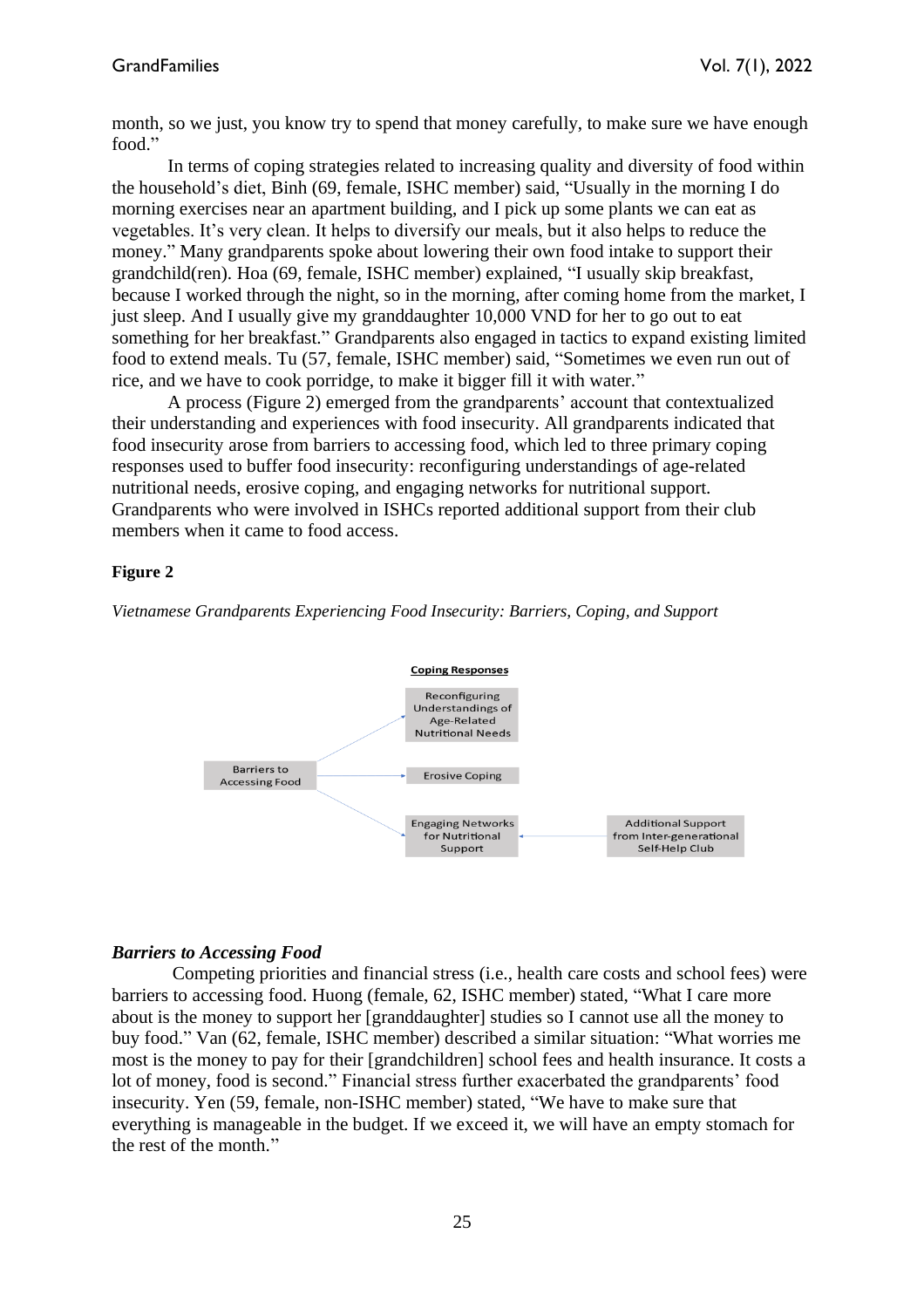month, so we just, you know try to spend that money carefully, to make sure we have enough food."

In terms of coping strategies related to increasing quality and diversity of food within the household's diet, Binh (69, female, ISHC member) said, "Usually in the morning I do morning exercises near an apartment building, and I pick up some plants we can eat as vegetables. It's very clean. It helps to diversify our meals, but it also helps to reduce the money." Many grandparents spoke about lowering their own food intake to support their grandchild(ren). Hoa (69, female, ISHC member) explained, "I usually skip breakfast, because I worked through the night, so in the morning, after coming home from the market, I just sleep. And I usually give my granddaughter 10,000 VND for her to go out to eat something for her breakfast." Grandparents also engaged in tactics to expand existing limited food to extend meals. Tu (57, female, ISHC member) said, "Sometimes we even run out of rice, and we have to cook porridge, to make it bigger fill it with water."

A process (Figure 2) emerged from the grandparents' account that contextualized their understanding and experiences with food insecurity. All grandparents indicated that food insecurity arose from barriers to accessing food, which led to three primary coping responses used to buffer food insecurity: reconfiguring understandings of age-related nutritional needs, erosive coping, and engaging networks for nutritional support. Grandparents who were involved in ISHCs reported additional support from their club members when it came to food access.

#### **Figure 2**

*Vietnamese Grandparents Experiencing Food Insecurity: Barriers, Coping, and Support*



#### *Barriers to Accessing Food*

Competing priorities and financial stress (i.e., health care costs and school fees) were barriers to accessing food. Huong (female, 62, ISHC member) stated, "What I care more about is the money to support her [granddaughter] studies so I cannot use all the money to buy food." Van (62, female, ISHC member) described a similar situation: "What worries me most is the money to pay for their [grandchildren] school fees and health insurance. It costs a lot of money, food is second." Financial stress further exacerbated the grandparents' food insecurity. Yen (59, female, non-ISHC member) stated, "We have to make sure that everything is manageable in the budget. If we exceed it, we will have an empty stomach for the rest of the month."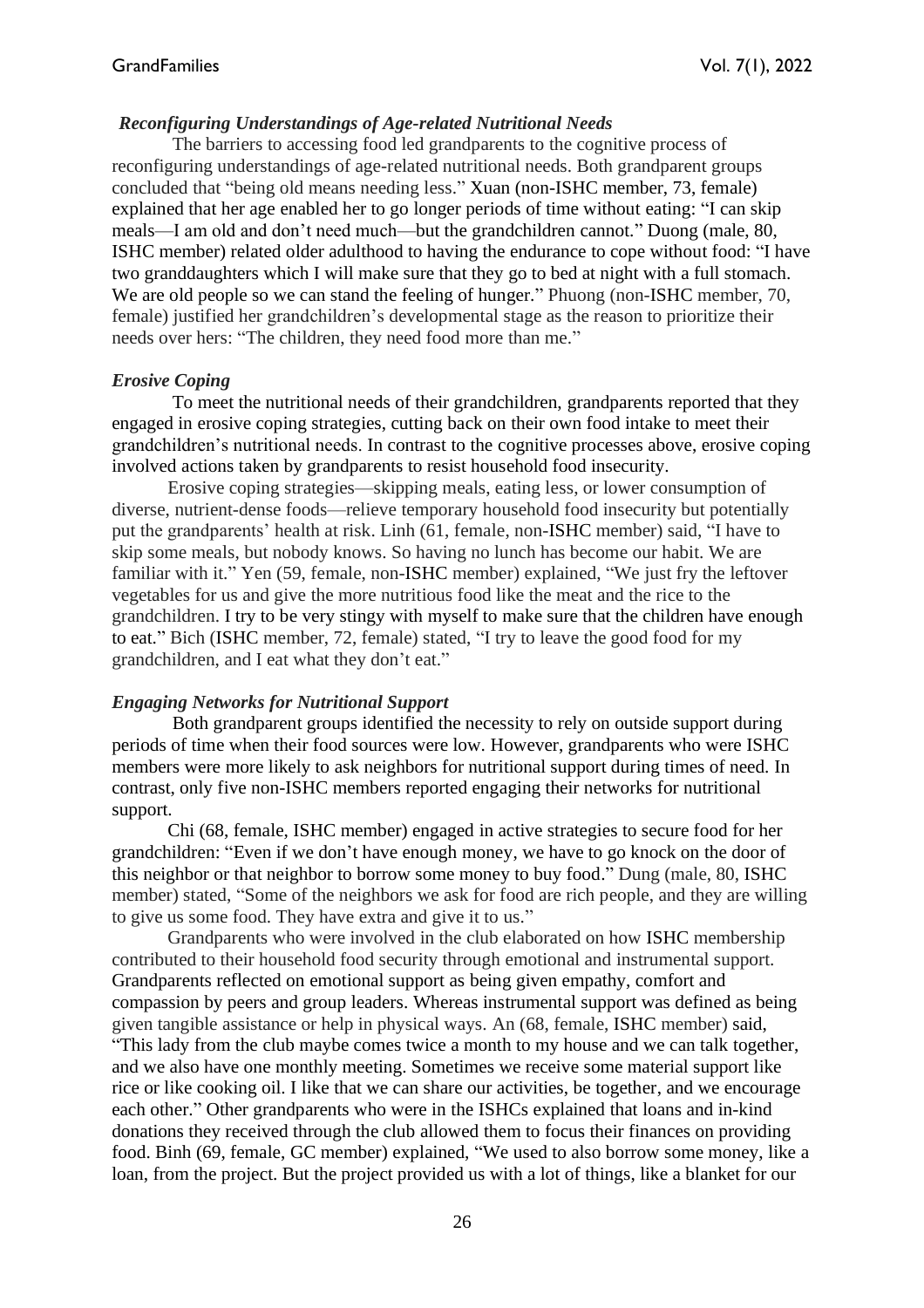## *Reconfiguring Understandings of Age-related Nutritional Needs*

The barriers to accessing food led grandparents to the cognitive process of reconfiguring understandings of age-related nutritional needs. Both grandparent groups concluded that "being old means needing less." Xuan (non-ISHC member, 73, female) explained that her age enabled her to go longer periods of time without eating: "I can skip meals—I am old and don't need much—but the grandchildren cannot." Duong (male, 80, ISHC member) related older adulthood to having the endurance to cope without food: "I have two granddaughters which I will make sure that they go to bed at night with a full stomach. We are old people so we can stand the feeling of hunger." Phuong (non-ISHC member, 70, female) justified her grandchildren's developmental stage as the reason to prioritize their needs over hers: "The children, they need food more than me."

## *Erosive Coping*

To meet the nutritional needs of their grandchildren, grandparents reported that they engaged in erosive coping strategies, cutting back on their own food intake to meet their grandchildren's nutritional needs. In contrast to the cognitive processes above, erosive coping involved actions taken by grandparents to resist household food insecurity.

Erosive coping strategies—skipping meals, eating less, or lower consumption of diverse, nutrient-dense foods—relieve temporary household food insecurity but potentially put the grandparents' health at risk. Linh (61, female, non-ISHC member) said, "I have to skip some meals, but nobody knows. So having no lunch has become our habit. We are familiar with it." Yen (59, female, non-ISHC member) explained, "We just fry the leftover vegetables for us and give the more nutritious food like the meat and the rice to the grandchildren. I try to be very stingy with myself to make sure that the children have enough to eat." Bich (ISHC member, 72, female) stated, "I try to leave the good food for my grandchildren, and I eat what they don't eat."

# *Engaging Networks for Nutritional Support*

Both grandparent groups identified the necessity to rely on outside support during periods of time when their food sources were low. However, grandparents who were ISHC members were more likely to ask neighbors for nutritional support during times of need. In contrast, only five non-ISHC members reported engaging their networks for nutritional support.

Chi (68, female, ISHC member) engaged in active strategies to secure food for her grandchildren: "Even if we don't have enough money, we have to go knock on the door of this neighbor or that neighbor to borrow some money to buy food." Dung (male, 80, ISHC member) stated, "Some of the neighbors we ask for food are rich people, and they are willing to give us some food. They have extra and give it to us."

Grandparents who were involved in the club elaborated on how ISHC membership contributed to their household food security through emotional and instrumental support. Grandparents reflected on emotional support as being given empathy, comfort and compassion by peers and group leaders. Whereas instrumental support was defined as being given tangible assistance or help in physical ways. An (68, female, ISHC member) said, "This lady from the club maybe comes twice a month to my house and we can talk together, and we also have one monthly meeting. Sometimes we receive some material support like rice or like cooking oil. I like that we can share our activities, be together, and we encourage each other." Other grandparents who were in the ISHCs explained that loans and in-kind donations they received through the club allowed them to focus their finances on providing food. Binh (69, female, GC member) explained, "We used to also borrow some money, like a loan, from the project. But the project provided us with a lot of things, like a blanket for our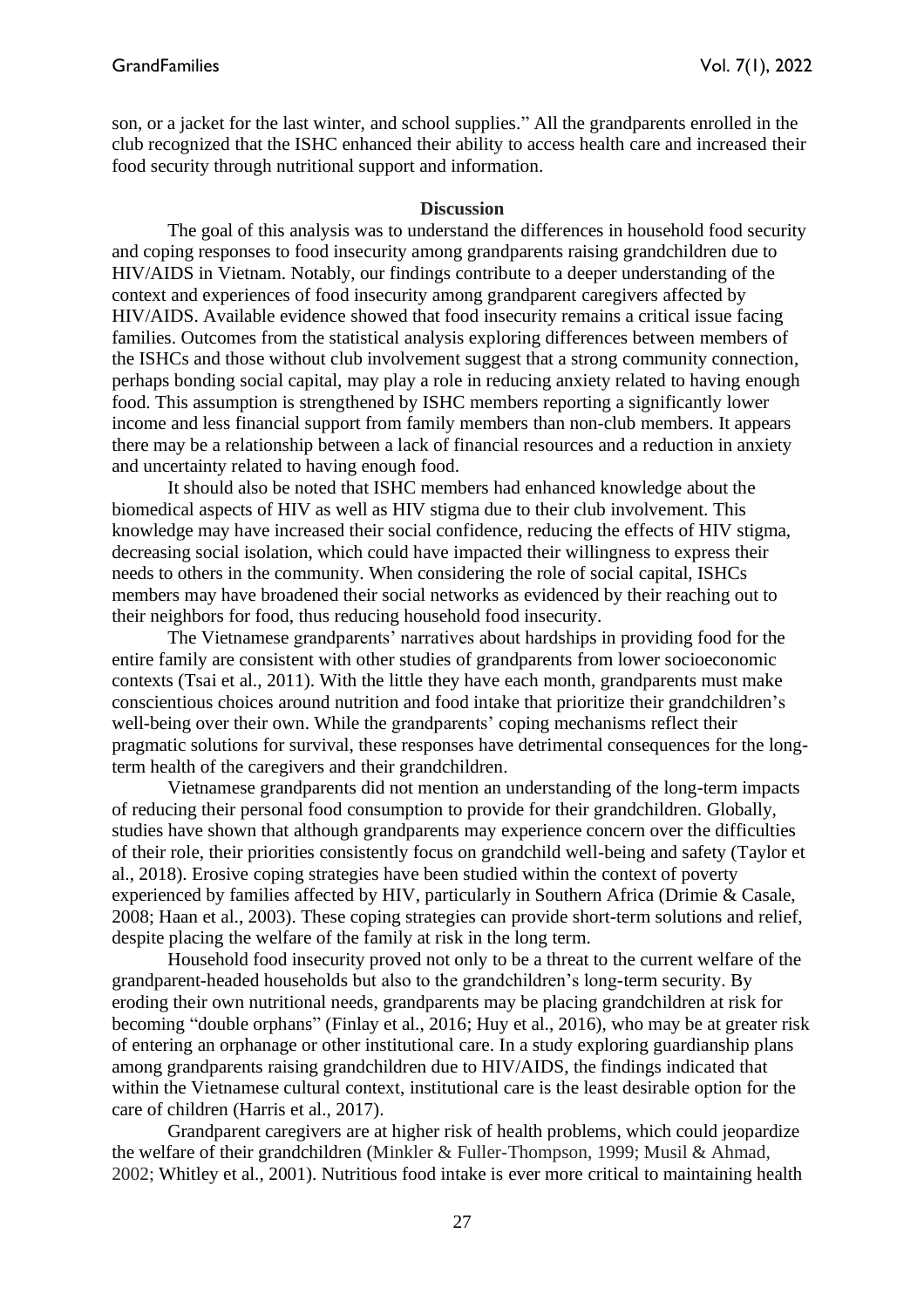son, or a jacket for the last winter, and school supplies." All the grandparents enrolled in the club recognized that the ISHC enhanced their ability to access health care and increased their food security through nutritional support and information.

#### **Discussion**

The goal of this analysis was to understand the differences in household food security and coping responses to food insecurity among grandparents raising grandchildren due to HIV/AIDS in Vietnam. Notably, our findings contribute to a deeper understanding of the context and experiences of food insecurity among grandparent caregivers affected by HIV/AIDS. Available evidence showed that food insecurity remains a critical issue facing families. Outcomes from the statistical analysis exploring differences between members of the ISHCs and those without club involvement suggest that a strong community connection, perhaps bonding social capital, may play a role in reducing anxiety related to having enough food. This assumption is strengthened by ISHC members reporting a significantly lower income and less financial support from family members than non-club members. It appears there may be a relationship between a lack of financial resources and a reduction in anxiety and uncertainty related to having enough food.

It should also be noted that ISHC members had enhanced knowledge about the biomedical aspects of HIV as well as HIV stigma due to their club involvement. This knowledge may have increased their social confidence, reducing the effects of HIV stigma, decreasing social isolation, which could have impacted their willingness to express their needs to others in the community. When considering the role of social capital, ISHCs members may have broadened their social networks as evidenced by their reaching out to their neighbors for food, thus reducing household food insecurity.

The Vietnamese grandparents' narratives about hardships in providing food for the entire family are consistent with other studies of grandparents from lower socioeconomic contexts (Tsai et al., 2011). With the little they have each month, grandparents must make conscientious choices around nutrition and food intake that prioritize their grandchildren's well-being over their own. While the grandparents' coping mechanisms reflect their pragmatic solutions for survival, these responses have detrimental consequences for the longterm health of the caregivers and their grandchildren.

Vietnamese grandparents did not mention an understanding of the long-term impacts of reducing their personal food consumption to provide for their grandchildren. Globally, studies have shown that although grandparents may experience concern over the difficulties of their role, their priorities consistently focus on grandchild well-being and safety (Taylor et al., 2018). Erosive coping strategies have been studied within the context of poverty experienced by families affected by HIV, particularly in Southern Africa (Drimie & Casale, 2008; Haan et al., 2003). These coping strategies can provide short-term solutions and relief, despite placing the welfare of the family at risk in the long term.

Household food insecurity proved not only to be a threat to the current welfare of the grandparent-headed households but also to the grandchildren's long-term security. By eroding their own nutritional needs, grandparents may be placing grandchildren at risk for becoming "double orphans" (Finlay et al., 2016; Huy et al., 2016), who may be at greater risk of entering an orphanage or other institutional care. In a study exploring guardianship plans among grandparents raising grandchildren due to HIV/AIDS, the findings indicated that within the Vietnamese cultural context, institutional care is the least desirable option for the care of children (Harris et al.*,* 2017).

Grandparent caregivers are at higher risk of health problems, which could jeopardize the welfare of their grandchildren (Minkler & Fuller-Thompson, 1999; Musil & Ahmad, 2002; Whitley et al., 2001). Nutritious food intake is ever more critical to maintaining health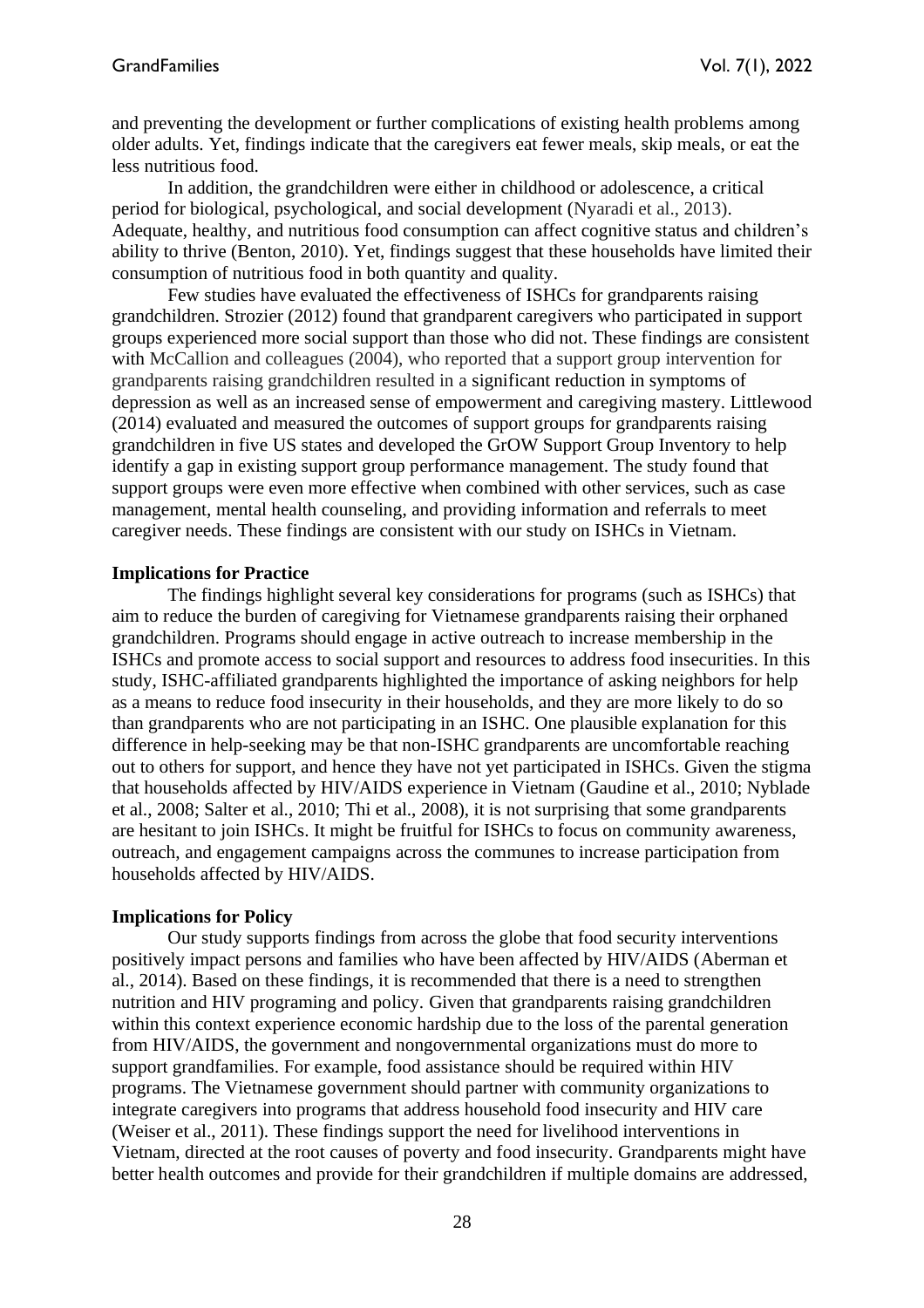and preventing the development or further complications of existing health problems among older adults. Yet, findings indicate that the caregivers eat fewer meals, skip meals, or eat the less nutritious food.

In addition, the grandchildren were either in childhood or adolescence, a critical period for biological, psychological, and social development (Nyaradi et al., 2013). Adequate, healthy, and nutritious food consumption can affect cognitive status and children's ability to thrive (Benton, 2010). Yet, findings suggest that these households have limited their consumption of nutritious food in both quantity and quality.

Few studies have evaluated the effectiveness of ISHCs for grandparents raising grandchildren. Strozier (2012) found that grandparent caregivers who participated in support groups experienced more social support than those who did not. These findings are consistent with McCallion and colleagues (2004), who reported that a support group intervention for grandparents raising grandchildren resulted in a significant reduction in symptoms of depression as well as an increased sense of empowerment and caregiving mastery. Littlewood (2014) evaluated and measured the outcomes of support groups for grandparents raising grandchildren in five US states and developed the GrOW Support Group Inventory to help identify a gap in existing support group performance management. The study found that support groups were even more effective when combined with other services, such as case management, mental health counseling, and providing information and referrals to meet caregiver needs. These findings are consistent with our study on ISHCs in Vietnam.

#### **Implications for Practice**

The findings highlight several key considerations for programs (such as ISHCs) that aim to reduce the burden of caregiving for Vietnamese grandparents raising their orphaned grandchildren. Programs should engage in active outreach to increase membership in the ISHCs and promote access to social support and resources to address food insecurities. In this study, ISHC-affiliated grandparents highlighted the importance of asking neighbors for help as a means to reduce food insecurity in their households, and they are more likely to do so than grandparents who are not participating in an ISHC. One plausible explanation for this difference in help-seeking may be that non-ISHC grandparents are uncomfortable reaching out to others for support, and hence they have not yet participated in ISHCs. Given the stigma that households affected by HIV/AIDS experience in Vietnam (Gaudine et al., 2010; Nyblade et al., 2008; Salter et al., 2010; Thi et al., 2008), it is not surprising that some grandparents are hesitant to join ISHCs. It might be fruitful for ISHCs to focus on community awareness, outreach, and engagement campaigns across the communes to increase participation from households affected by HIV/AIDS.

## **Implications for Policy**

Our study supports findings from across the globe that food security interventions positively impact persons and families who have been affected by HIV/AIDS (Aberman et al., 2014). Based on these findings, it is recommended that there is a need to strengthen nutrition and HIV programing and policy. Given that grandparents raising grandchildren within this context experience economic hardship due to the loss of the parental generation from HIV/AIDS, the government and nongovernmental organizations must do more to support grandfamilies. For example, food assistance should be required within HIV programs. The Vietnamese government should partner with community organizations to integrate caregivers into programs that address household food insecurity and HIV care (Weiser et al., 2011). These findings support the need for livelihood interventions in Vietnam, directed at the root causes of poverty and food insecurity. Grandparents might have better health outcomes and provide for their grandchildren if multiple domains are addressed,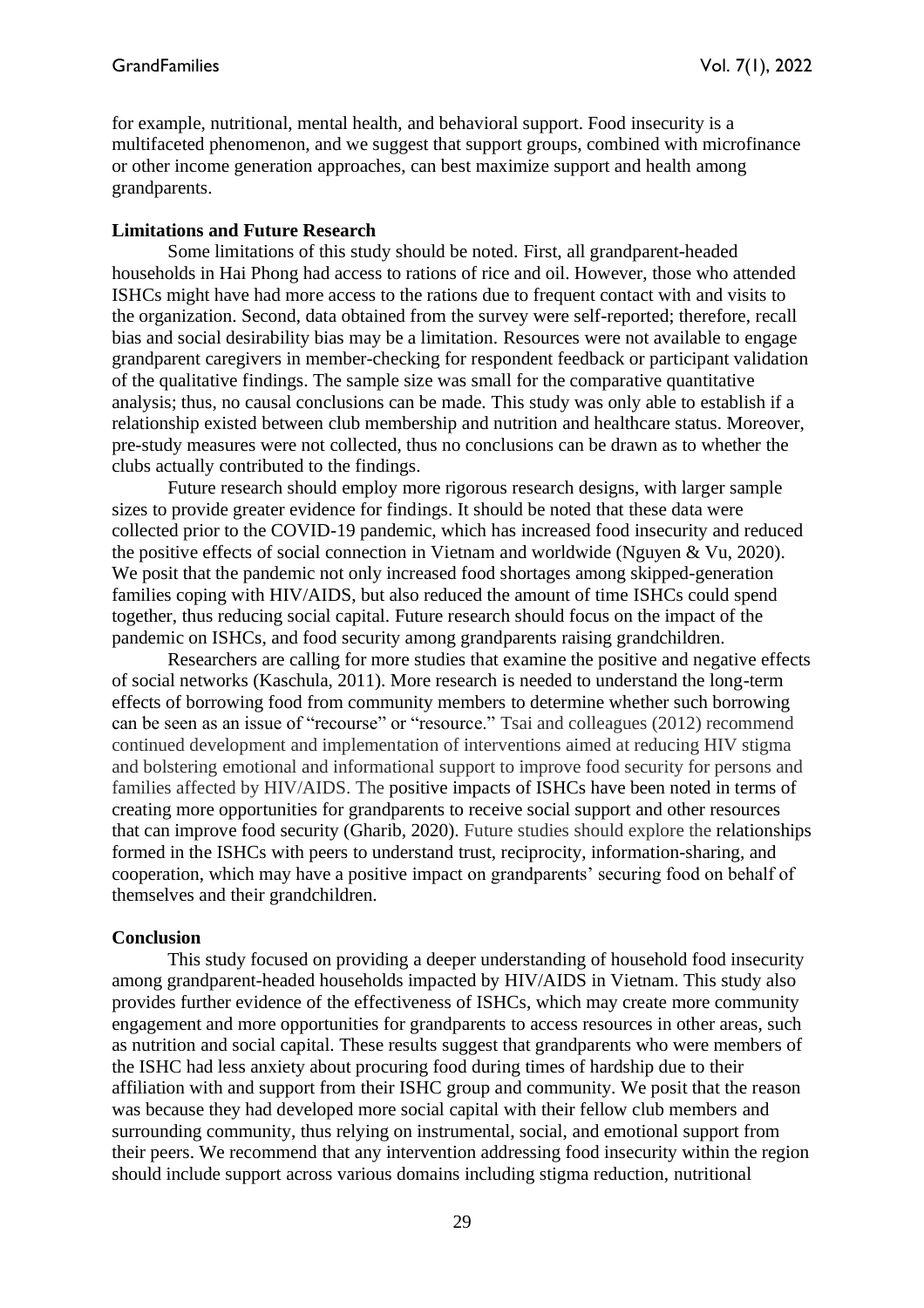for example, nutritional, mental health, and behavioral support. Food insecurity is a multifaceted phenomenon, and we suggest that support groups, combined with microfinance or other income generation approaches, can best maximize support and health among grandparents.

## **Limitations and Future Research**

Some limitations of this study should be noted. First, all grandparent-headed households in Hai Phong had access to rations of rice and oil. However, those who attended ISHCs might have had more access to the rations due to frequent contact with and visits to the organization. Second, data obtained from the survey were self-reported; therefore, recall bias and social desirability bias may be a limitation. Resources were not available to engage grandparent caregivers in member-checking for respondent feedback or participant validation of the qualitative findings. The sample size was small for the comparative quantitative analysis; thus, no causal conclusions can be made. This study was only able to establish if a relationship existed between club membership and nutrition and healthcare status. Moreover, pre-study measures were not collected, thus no conclusions can be drawn as to whether the clubs actually contributed to the findings.

Future research should employ more rigorous research designs, with larger sample sizes to provide greater evidence for findings. It should be noted that these data were collected prior to the COVID-19 pandemic, which has increased food insecurity and reduced the positive effects of social connection in Vietnam and worldwide (Nguyen & Vu, 2020). We posit that the pandemic not only increased food shortages among skipped-generation families coping with HIV/AIDS, but also reduced the amount of time ISHCs could spend together, thus reducing social capital. Future research should focus on the impact of the pandemic on ISHCs, and food security among grandparents raising grandchildren.

Researchers are calling for more studies that examine the positive and negative effects of social networks (Kaschula, 2011). More research is needed to understand the long-term effects of borrowing food from community members to determine whether such borrowing can be seen as an issue of "recourse" or "resource." Tsai and colleagues (2012) recommend continued development and implementation of interventions aimed at reducing HIV stigma and bolstering emotional and informational support to improve food security for persons and families affected by HIV/AIDS. The positive impacts of ISHCs have been noted in terms of creating more opportunities for grandparents to receive social support and other resources that can improve food security (Gharib, 2020). Future studies should explore the relationships formed in the ISHCs with peers to understand trust, reciprocity, information-sharing, and cooperation, which may have a positive impact on grandparents' securing food on behalf of themselves and their grandchildren.

## **Conclusion**

This study focused on providing a deeper understanding of household food insecurity among grandparent-headed households impacted by HIV/AIDS in Vietnam. This study also provides further evidence of the effectiveness of ISHCs, which may create more community engagement and more opportunities for grandparents to access resources in other areas, such as nutrition and social capital. These results suggest that grandparents who were members of the ISHC had less anxiety about procuring food during times of hardship due to their affiliation with and support from their ISHC group and community. We posit that the reason was because they had developed more social capital with their fellow club members and surrounding community, thus relying on instrumental, social, and emotional support from their peers. We recommend that any intervention addressing food insecurity within the region should include support across various domains including stigma reduction, nutritional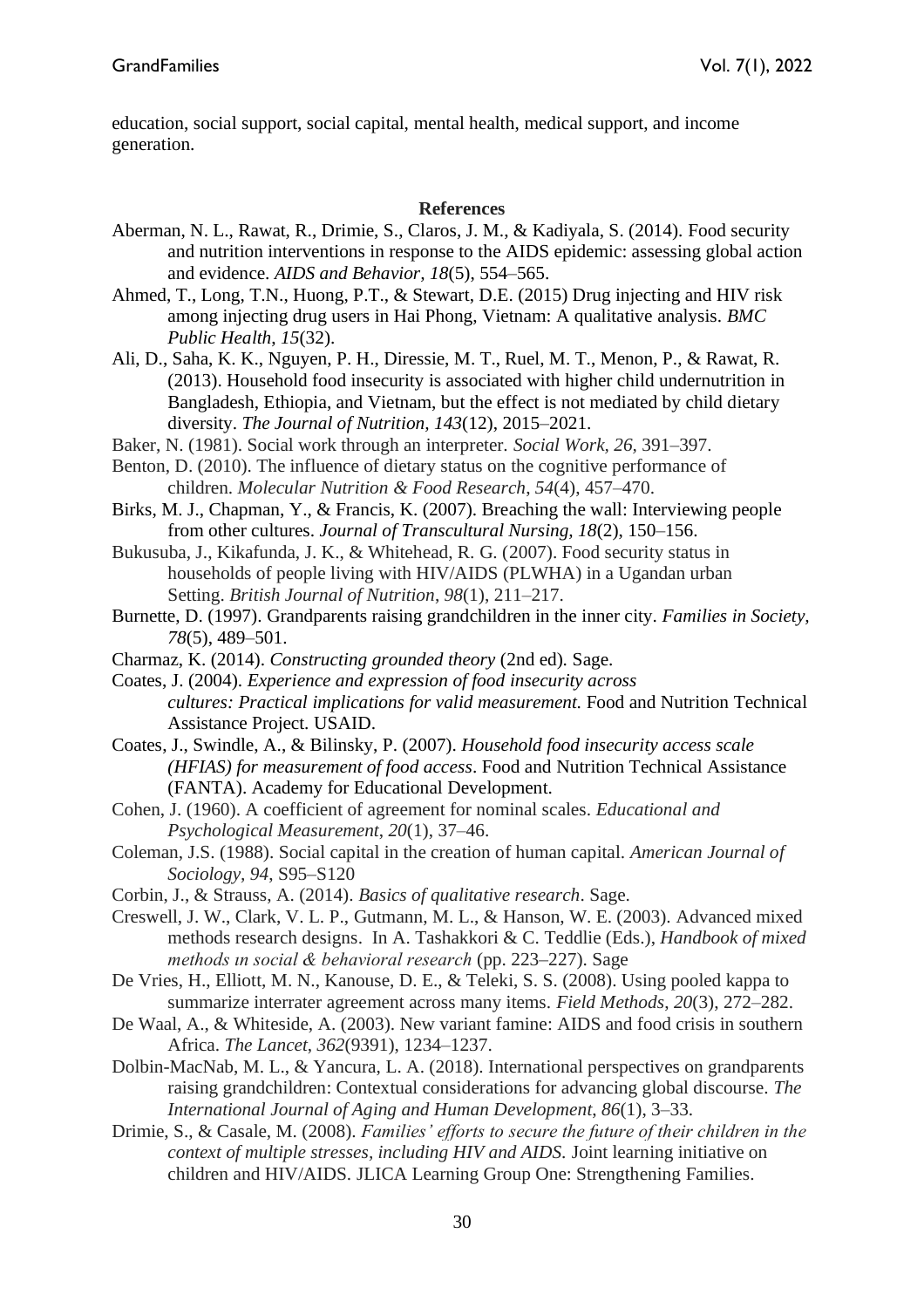education, social support, social capital, mental health, medical support, and income generation.

#### **References**

- Aberman, N. L., Rawat, R., Drimie, S., Claros, J. M., & Kadiyala, S. (2014). Food security and nutrition interventions in response to the AIDS epidemic: assessing global action and evidence. *AIDS and Behavior, 18*(5), 554–565.
- Ahmed, T., Long, T.N., Huong, P.T., & Stewart, D.E. (2015) Drug injecting and HIV risk among injecting drug users in Hai Phong, Vietnam: A qualitative analysis. *BMC Public Health*, *15*(32).
- Ali, D., Saha, K. K., Nguyen, P. H., Diressie, M. T., Ruel, M. T., Menon, P., & Rawat, R. (2013). Household food insecurity is associated with higher child undernutrition in Bangladesh, Ethiopia, and Vietnam, but the effect is not mediated by child dietary diversity. *The Journal of Nutrition, 143*(12), 2015–2021.
- Baker, N. (1981). Social work through an interpreter. *Social Work, 26,* 391–397.
- Benton, D. (2010). The influence of dietary status on the cognitive performance of children. *Molecular Nutrition & Food Research*, *54*(4), 457–470.
- Birks, M. J., Chapman, Y., & Francis, K. (2007). Breaching the wall: Interviewing people from other cultures. *Journal of Transcultural Nursing, 18*(2), 150–156.
- Bukusuba, J., Kikafunda, J. K., & Whitehead, R. G. (2007). Food security status in households of people living with HIV/AIDS (PLWHA) in a Ugandan urban Setting. *British Journal of Nutrition*, *98*(1), 211–217.
- Burnette, D. (1997). Grandparents raising grandchildren in the inner city. *Families in Society, 78*(5), 489–501.
- Charmaz, K. (2014). *Constructing grounded theory* (2nd ed)*.* Sage.
- Coates, J. (2004). *Experience and expression of food insecurity across cultures: Practical implications for valid measurement.* Food and Nutrition Technical Assistance Project. USAID.
- Coates, J., Swindle, A., & Bilinsky, P. (2007). *Household food insecurity access scale (HFIAS) for measurement of food access*. Food and Nutrition Technical Assistance (FANTA). Academy for Educational Development.
- Cohen, J. (1960). A coefficient of agreement for nominal scales. *Educational and Psychological Measurement*, *20*(1), 37–46.
- Coleman, J.S. (1988). Social capital in the creation of human capital. *American Journal of Sociology, 94*, S95–S120
- Corbin, J., & Strauss, A. (2014). *Basics of qualitative research*. Sage.
- Creswell, J. W., Clark, V. L. P., Gutmann, M. L., & Hanson, W. E. (2003). Advanced mixed methods research designs. In A. Tashakkori & C. Teddlie (Eds.), *Handbook of mixed methods ın social & behavioral research* (pp. 223–227). Sage
- De Vries, H., Elliott, M. N., Kanouse, D. E., & Teleki, S. S. (2008). Using pooled kappa to summarize interrater agreement across many items. *Field Methods*, *20*(3), 272–282.
- De Waal, A., & Whiteside, A. (2003). New variant famine: AIDS and food crisis in southern Africa. *The Lancet*, *362*(9391), 1234–1237.
- Dolbin-MacNab, M. L., & Yancura, L. A. (2018). International perspectives on grandparents raising grandchildren: Contextual considerations for advancing global discourse. *The International Journal of Aging and Human Development*, *86*(1), 3–33.
- Drimie, S., & Casale, M. (2008). *Families' efforts to secure the future of their children in the context of multiple stresses, including HIV and AIDS.* Joint learning initiative on children and HIV/AIDS*.* JLICA Learning Group One: Strengthening Families.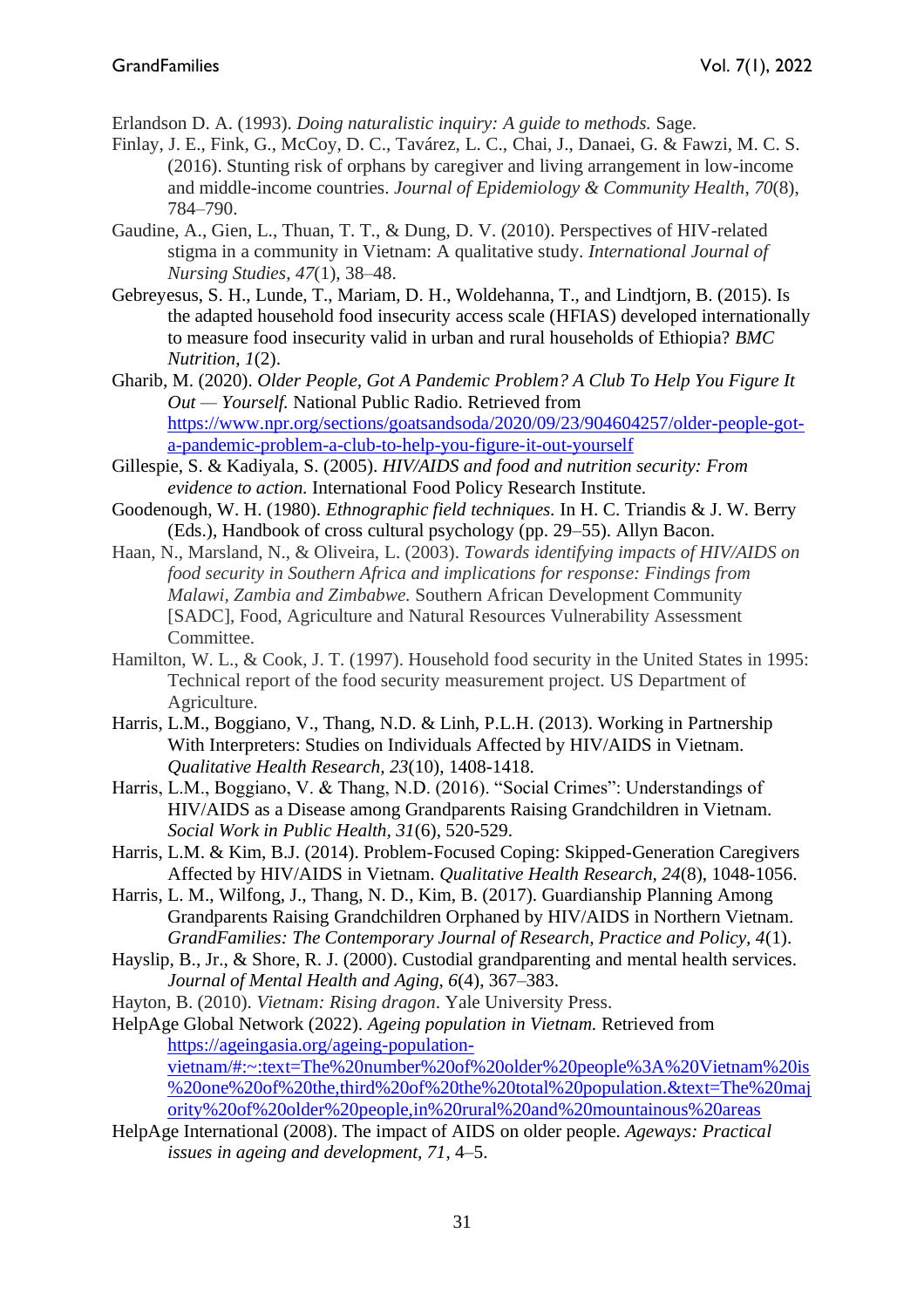Erlandson D. A. (1993). *Doing naturalistic inquiry: A guide to methods.* Sage.

- Finlay, J. E., Fink, G., McCoy, D. C., Tavárez, L. C., Chai, J., Danaei, G. & Fawzi, M. C. S. (2016). Stunting risk of orphans by caregiver and living arrangement in low-income and middle-income countries. *Journal of Epidemiology & Community Health*, *70*(8), 784–790.
- Gaudine, A., Gien, L., Thuan, T. T., & Dung, D. V. (2010). Perspectives of HIV-related stigma in a community in Vietnam: A qualitative study. *International Journal of Nursing Studies*, *47*(1), 38–48.
- Gebreyesus, S. H., Lunde, T., Mariam, D. H., Woldehanna, T., and Lindtjorn, B. (2015). Is the adapted household food insecurity access scale (HFIAS) developed internationally to measure food insecurity valid in urban and rural households of Ethiopia? *BMC Nutrition*, *1*(2).
- Gharib, M. (2020). *Older People, Got A Pandemic Problem? A Club To Help You Figure It Out — Yourself.* National Public Radio. Retrieved from [https://www.npr.org/sections/goatsandsoda/2020/09/23/904604257/older-people-got](https://www.npr.org/sections/goatsandsoda/2020/09/23/904604257/older-people-got-a-pandemic-problem-a-club-to-help-you-figure-it-out-yourself)[a-pandemic-problem-a-club-to-help-you-figure-it-out-yourself](https://www.npr.org/sections/goatsandsoda/2020/09/23/904604257/older-people-got-a-pandemic-problem-a-club-to-help-you-figure-it-out-yourself)
- Gillespie, S. & Kadiyala, S. (2005). *HIV/AIDS and food and nutrition security: From evidence to action.* International Food Policy Research Institute.
- Goodenough, W. H. (1980). *Ethnographic field techniques.* In H. C. Triandis & J. W. Berry (Eds.), Handbook of cross cultural psychology (pp. 29–55). Allyn Bacon.
- Haan, N., Marsland, N., & Oliveira, L. (2003). *Towards identifying impacts of HIV/AIDS on food security in Southern Africa and implications for response: Findings from Malawi, Zambia and Zimbabwe.* Southern African Development Community [SADC], Food, Agriculture and Natural Resources Vulnerability Assessment Committee.
- Hamilton, W. L., & Cook, J. T. (1997). Household food security in the United States in 1995: Technical report of the food security measurement project. US Department of Agriculture.
- Harris, L.M., Boggiano, V., Thang, N.D. & Linh, P.L.H. (2013). Working in Partnership With Interpreters: Studies on Individuals Affected by HIV/AIDS in Vietnam. *Qualitative Health Research, 23*(10), 1408-1418.
- Harris, L.M., Boggiano, V. & Thang, N.D. (2016). "Social Crimes": Understandings of HIV/AIDS as a Disease among Grandparents Raising Grandchildren in Vietnam. *Social Work in Public Health, 31*(6), 520-529.
- Harris, L.M. & Kim, B.J. (2014). Problem-Focused Coping: Skipped-Generation Caregivers Affected by HIV/AIDS in Vietnam. *Qualitative Health Research, 24*(8), 1048-1056.
- Harris, L. M., Wilfong, J., Thang, N. D., Kim, B. (2017). Guardianship Planning Among Grandparents Raising Grandchildren Orphaned by HIV/AIDS in Northern Vietnam. *GrandFamilies: The Contemporary Journal of Research, Practice and Policy, 4*(1).
- Hayslip, B., Jr., & Shore, R. J. (2000). Custodial grandparenting and mental health services. *Journal of Mental Health and Aging, 6*(4), 367–383.
- Hayton, B. (2010). *Vietnam: Rising dragon*. Yale University Press.
- HelpAge Global Network (2022). *Ageing population in Vietnam.* Retrieved from [https://ageingasia.org/ageing-population](https://ageingasia.org/ageing-population-vietnam/#:~:text=The%20number%20of%20older%20people%3A%20Vietnam%20is%20one%20of%20the,third%20of%20the%20total%20population.&text=The%20majority%20of%20older%20people,in%20rural%20and%20mountainous%20areas)[vietnam/#:~:text=The%20number%20of%20older%20people%3A%20Vietnam%20is](https://ageingasia.org/ageing-population-vietnam/#:~:text=The%20number%20of%20older%20people%3A%20Vietnam%20is%20one%20of%20the,third%20of%20the%20total%20population.&text=The%20majority%20of%20older%20people,in%20rural%20and%20mountainous%20areas) [%20one%20of%20the,third%20of%20the%20total%20population.&text=The%20maj](https://ageingasia.org/ageing-population-vietnam/#:~:text=The%20number%20of%20older%20people%3A%20Vietnam%20is%20one%20of%20the,third%20of%20the%20total%20population.&text=The%20majority%20of%20older%20people,in%20rural%20and%20mountainous%20areas) [ority%20of%20older%20people,in%20rural%20and%20mountainous%20areas](https://ageingasia.org/ageing-population-vietnam/#:~:text=The%20number%20of%20older%20people%3A%20Vietnam%20is%20one%20of%20the,third%20of%20the%20total%20population.&text=The%20majority%20of%20older%20people,in%20rural%20and%20mountainous%20areas)
- HelpAge International (2008). The impact of AIDS on older people. *Ageways: Practical issues in ageing and development, 71*, 4–5.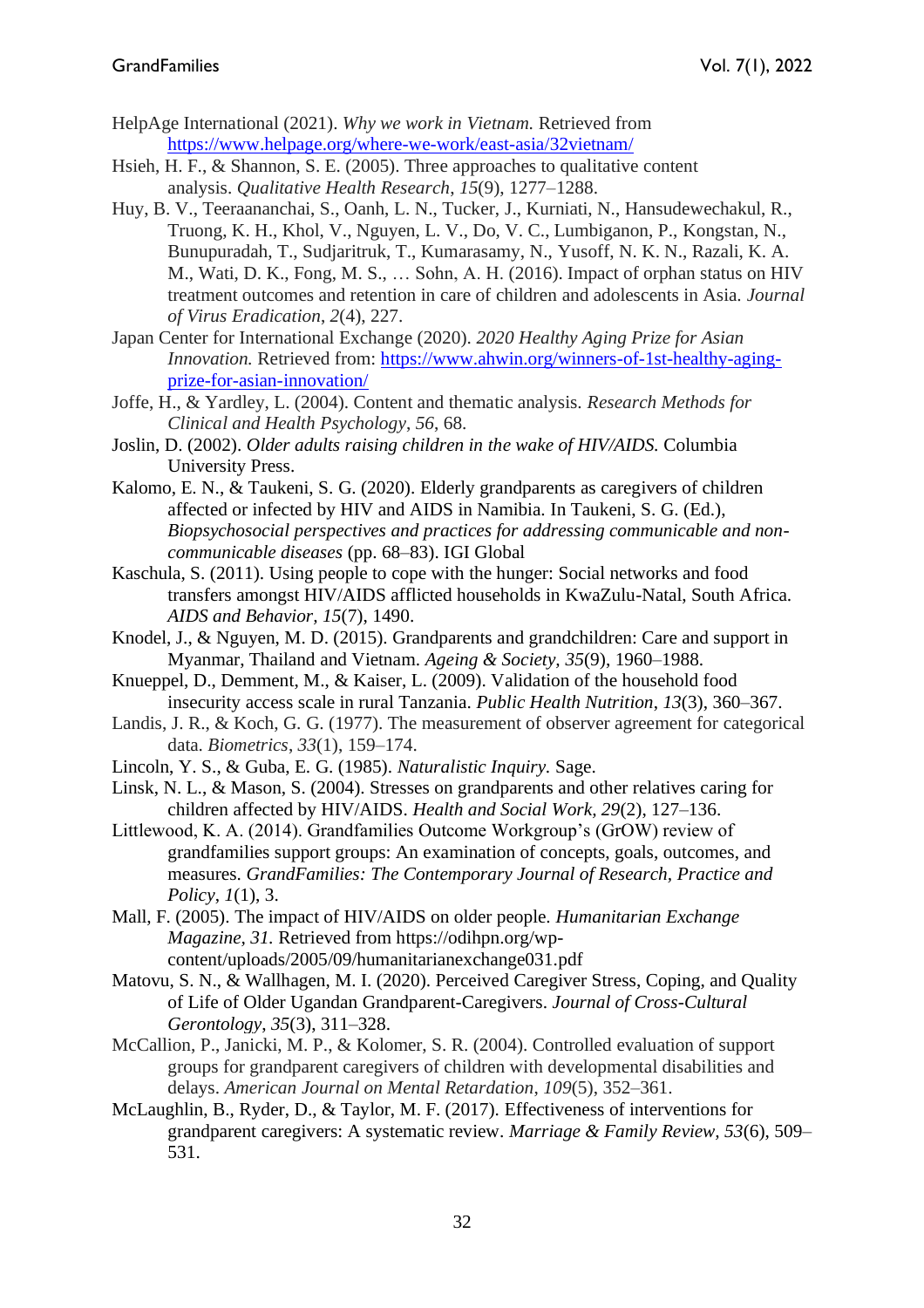- HelpAge International (2021). *Why we work in Vietnam.* Retrieved from [https://www.helpage.org/where-we-work/east-asia/32vietnam/](https://www.helpage.org/where-we-work/east-asia/vietnam/)
- Hsieh, H. F., & Shannon, S. E. (2005). Three approaches to qualitative content analysis. *Qualitative Health Research*, *15*(9), 1277–1288.
- Huy, B. V., Teeraananchai, S., Oanh, L. N., Tucker, J., Kurniati, N., Hansudewechakul, R., Truong, K. H., Khol, V., Nguyen, L. V., Do, V. C., Lumbiganon, P., Kongstan, N., Bunupuradah, T., Sudjaritruk, T., Kumarasamy, N., Yusoff, N. K. N., Razali, K. A. M., Wati, D. K., Fong, M. S., … Sohn, A. H. (2016). Impact of orphan status on HIV treatment outcomes and retention in care of children and adolescents in Asia. *Journal of Virus Eradication*, *2*(4), 227.
- Japan Center for International Exchange (2020). *2020 Healthy Aging Prize for Asian Innovation.* Retrieved from: [https://www.ahwin.org/winners-of-1st-healthy-aging](https://www.ahwin.org/winners-of-1st-healthy-aging-prize-for-asian-innovation/)[prize-for-asian-innovation/](https://www.ahwin.org/winners-of-1st-healthy-aging-prize-for-asian-innovation/)
- Joffe, H., & Yardley, L. (2004). Content and thematic analysis. *Research Methods for Clinical and Health Psychology*, *56*, 68.
- Joslin, D. (2002). *Older adults raising children in the wake of HIV/AIDS.* Columbia University Press.
- Kalomo, E. N., & Taukeni, S. G. (2020). Elderly grandparents as caregivers of children affected or infected by HIV and AIDS in Namibia. In Taukeni, S. G. (Ed.), *Biopsychosocial perspectives and practices for addressing communicable and noncommunicable diseases* (pp. 68–83). IGI Global
- Kaschula, S. (2011). Using people to cope with the hunger: Social networks and food transfers amongst HIV/AIDS afflicted households in KwaZulu-Natal, South Africa. *AIDS and Behavior, 15*(7), 1490.
- Knodel, J., & Nguyen, M. D. (2015). Grandparents and grandchildren: Care and support in Myanmar, Thailand and Vietnam. *Ageing & Society, 35*(9), 1960–1988.
- Knueppel, D., Demment, M., & Kaiser, L. (2009). Validation of the household food insecurity access scale in rural Tanzania. *Public Health Nutrition*, *13*(3), 360–367.
- Landis, J. R., & Koch, G. G. (1977). The measurement of observer agreement for categorical data. *Biometrics*, *33*(1), 159–174.

Lincoln, Y. S., & Guba, E. G. (1985). *Naturalistic Inquiry.* Sage.

- Linsk, N. L., & Mason, S. (2004). Stresses on grandparents and other relatives caring for children affected by HIV/AIDS. *Health and Social Work, 29*(2), 127–136.
- Littlewood, K. A. (2014). Grandfamilies Outcome Workgroup's (GrOW) review of grandfamilies support groups: An examination of concepts, goals, outcomes, and measures. *GrandFamilies: The Contemporary Journal of Research, Practice and Policy*, *1*(1), 3.
- Mall, F. (2005). The impact of HIV/AIDS on older people. *Humanitarian Exchange Magazine, 31.* Retrieved from https://odihpn.org/wpcontent/uploads/2005/09/humanitarianexchange031.pdf
- Matovu, S. N., & Wallhagen, M. I. (2020). Perceived Caregiver Stress, Coping, and Quality of Life of Older Ugandan Grandparent-Caregivers. *Journal of Cross-Cultural Gerontology*, *35*(3), 311–328.
- McCallion, P., Janicki, M. P., & Kolomer, S. R. (2004). Controlled evaluation of support groups for grandparent caregivers of children with developmental disabilities and delays. *American Journal on Mental Retardation*, *109*(5), 352–361.
- McLaughlin, B., Ryder, D., & Taylor, M. F. (2017). Effectiveness of interventions for grandparent caregivers: A systematic review. *Marriage & Family Review, 53*(6), 509– 531.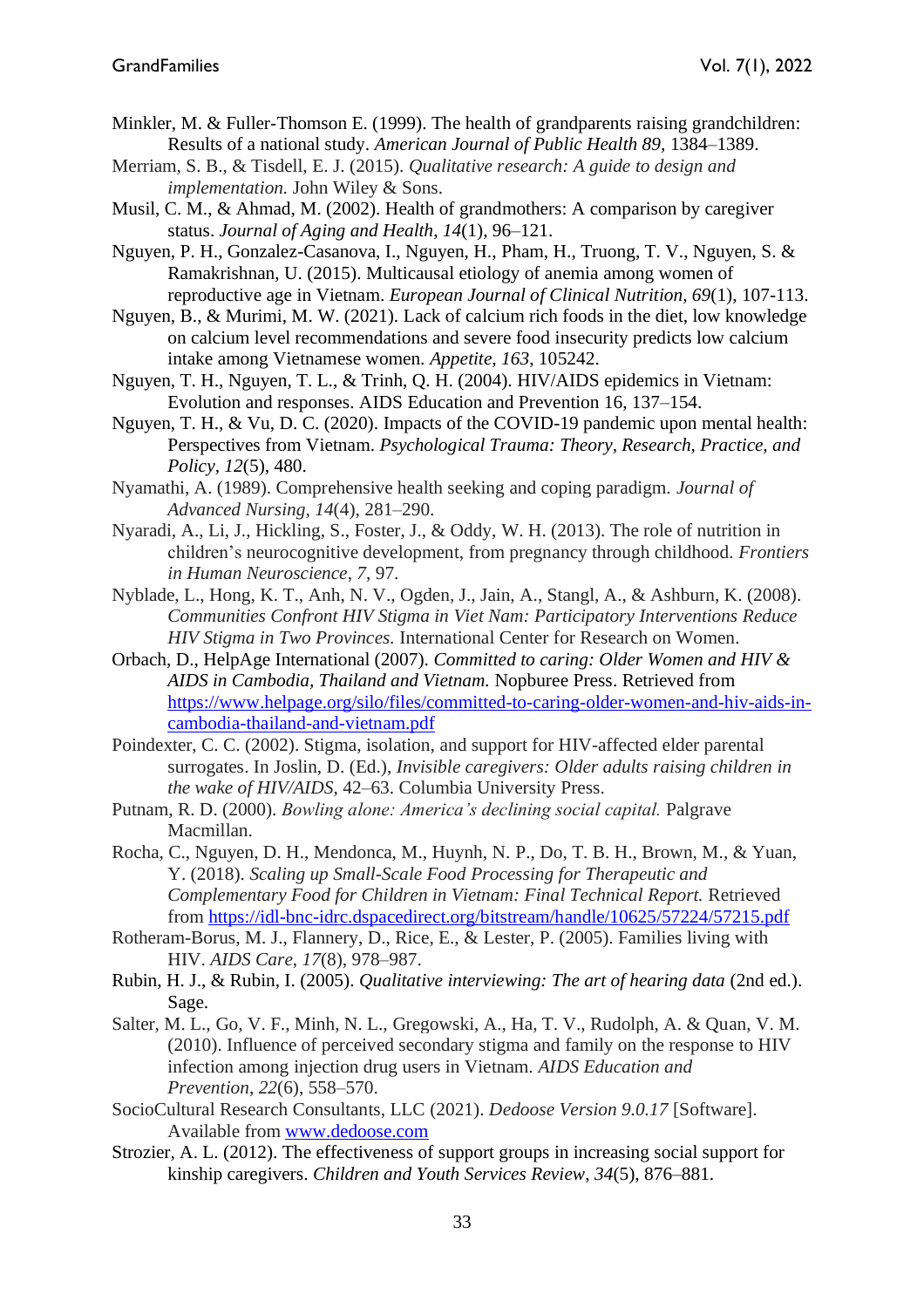- Minkler, M. & Fuller-Thomson E. (1999). The health of grandparents raising grandchildren: Results of a national study. *American Journal of Public Health 89,* 1384–1389.
- Merriam, S. B., & Tisdell, E. J. (2015). *Qualitative research: A guide to design and implementation.* John Wiley & Sons.
- Musil, C. M., & Ahmad, M. (2002). Health of grandmothers: A comparison by caregiver status. *Journal of Aging and Health*, *14*(1), 96–121.
- Nguyen, P. H., Gonzalez-Casanova, I., Nguyen, H., Pham, H., Truong, T. V., Nguyen, S. & Ramakrishnan, U. (2015). Multicausal etiology of anemia among women of reproductive age in Vietnam. *European Journal of Clinical Nutrition, 69*(1), 107-113.
- Nguyen, B., & Murimi, M. W. (2021). Lack of calcium rich foods in the diet, low knowledge on calcium level recommendations and severe food insecurity predicts low calcium intake among Vietnamese women. *Appetite, 163*, 105242.
- Nguyen, T. H., Nguyen, T. L., & Trinh, Q. H. (2004). HIV/AIDS epidemics in Vietnam: Evolution and responses. AIDS Education and Prevention 16, 137–154.
- Nguyen, T. H., & Vu, D. C. (2020). Impacts of the COVID-19 pandemic upon mental health: Perspectives from Vietnam. *Psychological Trauma: Theory, Research, Practice, and Policy, 12*(5), 480.
- Nyamathi, A. (1989). Comprehensive health seeking and coping paradigm. *Journal of Advanced Nursing*, *14*(4), 281–290.
- Nyaradi, A., Li, J., Hickling, S., Foster, J., & Oddy, W. H. (2013). The role of nutrition in children's neurocognitive development, from pregnancy through childhood. *Frontiers in Human Neuroscience*, *7*, 97.
- Nyblade, L., Hong, K. T., Anh, N. V., Ogden, J., Jain, A., Stangl, A., & Ashburn, K. (2008). *Communities Confront HIV Stigma in Viet Nam: Participatory Interventions Reduce HIV Stigma in Two Provinces.* International Center for Research on Women.
- Orbach, D., HelpAge International (2007). *Committed to caring: Older Women and HIV & AIDS in Cambodia, Thailand and Vietnam.* Nopburee Press. Retrieved from [https://www.helpage.org/silo/files/committed-to-caring-older-women-and-hiv-aids-in](https://www.aidsdatahub.org/sites/default/files/resource/older-women-and-hiv-aids-cambodia-thailand-and-vietnam-2007.pdf)[cambodia-thailand-and-vietnam.pdf](https://www.aidsdatahub.org/sites/default/files/resource/older-women-and-hiv-aids-cambodia-thailand-and-vietnam-2007.pdf)
- Poindexter, C. C. (2002). Stigma, isolation, and support for HIV-affected elder parental surrogates. In Joslin, D. (Ed.), *Invisible caregivers: Older adults raising children in the wake of HIV/AIDS*, 42–63. Columbia University Press.
- Putnam, R. D. (2000). *Bowling alone: America's declining social capital.* Palgrave Macmillan.
- Rocha, C., Nguyen, D. H., Mendonca, M., Huynh, N. P., Do, T. B. H., Brown, M., & Yuan, Y. (2018). *Scaling up Small-Scale Food Processing for Therapeutic and Complementary Food for Children in Vietnam: Final Technical Report.* Retrieved from<https://idl-bnc-idrc.dspacedirect.org/bitstream/handle/10625/57224/57215.pdf>
- Rotheram-Borus, M. J., Flannery, D., Rice, E., & Lester, P. (2005). Families living with HIV. *AIDS Care*, *17*(8), 978–987.
- Rubin, H. J., & Rubin, I. (2005). *Qualitative interviewing: The art of hearing data* (2nd ed.). Sage.
- Salter, M. L., Go, V. F., Minh, N. L., Gregowski, A., Ha, T. V., Rudolph, A. & Quan, V. M. (2010). Influence of perceived secondary stigma and family on the response to HIV infection among injection drug users in Vietnam. *AIDS Education and Prevention*, *22*(6), 558–570.
- SocioCultural Research Consultants, LLC (2021). *Dedoose Version 9.0.17* [Software]. Available from [www.dedoose.com](http://www.dedoose.com/)
- Strozier, A. L. (2012). The effectiveness of support groups in increasing social support for kinship caregivers. *Children and Youth Services Review*, *34*(5), 876–881.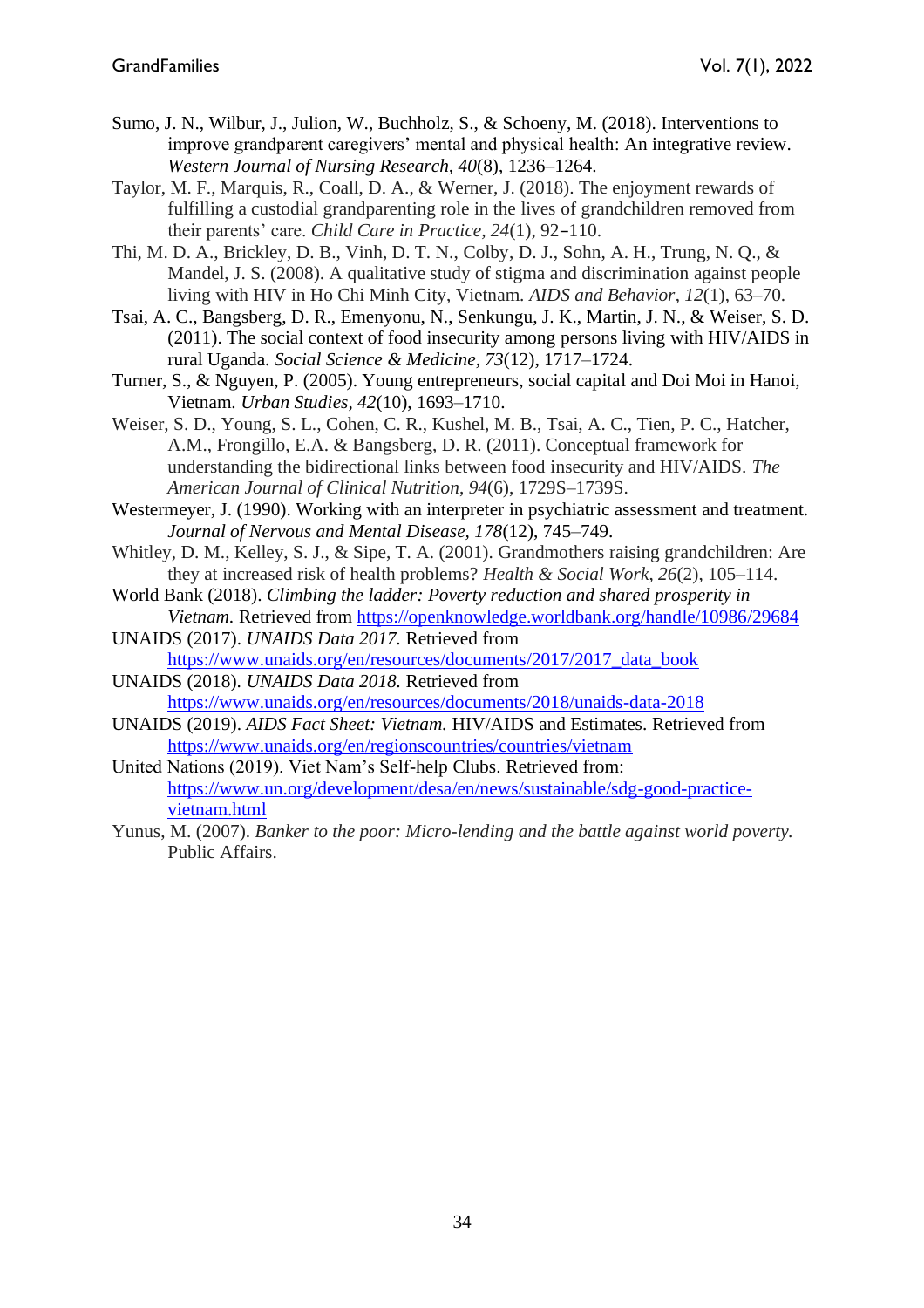- Sumo, J. N., Wilbur, J., Julion, W., Buchholz, S., & Schoeny, M. (2018). Interventions to improve grandparent caregivers' mental and physical health: An integrative review. *Western Journal of Nursing Research, 40*(8), 1236–1264.
- Taylor, M. F., Marquis, R., Coall, D. A., & Werner, J. (2018). The enjoyment rewards of fulfilling a custodial grandparenting role in the lives of grandchildren removed from their parents' care. *Child Care in Practice, 24*(1), 92–110.
- Thi, M. D. A., Brickley, D. B., Vinh, D. T. N., Colby, D. J., Sohn, A. H., Trung, N. Q., & Mandel, J. S. (2008). A qualitative study of stigma and discrimination against people living with HIV in Ho Chi Minh City, Vietnam. *AIDS and Behavior*, *12*(1), 63–70.
- Tsai, A. C., Bangsberg, D. R., Emenyonu, N., Senkungu, J. K., Martin, J. N., & Weiser, S. D. (2011). The social context of food insecurity among persons living with HIV/AIDS in rural Uganda. *Social Science & Medicine, 73*(12), 1717–1724.
- Turner, S., & Nguyen, P. (2005). Young entrepreneurs, social capital and Doi Moi in Hanoi, Vietnam. *Urban Studies, 42*(10), 1693–1710.
- Weiser, S. D., Young, S. L., Cohen, C. R., Kushel, M. B., Tsai, A. C., Tien, P. C., Hatcher, A.M., Frongillo, E.A. & Bangsberg, D. R. (2011). Conceptual framework for understanding the bidirectional links between food insecurity and HIV/AIDS. *The American Journal of Clinical Nutrition*, *94*(6), 1729S–1739S.

Westermeyer, J. (1990). Working with an interpreter in psychiatric assessment and treatment. *Journal of Nervous and Mental Disease, 178*(12), 745–749.

- Whitley, D. M., Kelley, S. J., & Sipe, T. A. (2001). Grandmothers raising grandchildren: Are they at increased risk of health problems? *Health & Social Work*, *26*(2), 105–114.
- World Bank (2018). *Climbing the ladder: Poverty reduction and shared prosperity in Vietnam.* Retrieved from <https://openknowledge.worldbank.org/handle/10986/29684>
- UNAIDS (2017). *UNAIDS Data 2017.* Retrieved from [https://www.unaids.org/en/resources/documents/2017/2017\\_data\\_book](https://www.unaids.org/en/resources/documents/2017/2017_data_book)

UNAIDS (2018). *UNAIDS Data 2018.* Retrieved from <https://www.unaids.org/en/resources/documents/2018/unaids-data-2018>

- UNAIDS (2019). *AIDS Fact Sheet: Vietnam.* HIV/AIDS and Estimates. Retrieved from <https://www.unaids.org/en/regionscountries/countries/vietnam>
- United Nations (2019). Viet Nam's Self-help Clubs. Retrieved from: [https://www.un.org/development/desa/en/news/sustainable/sdg-good-practice](https://www.un.org/development/desa/en/news/sustainable/sdg-good-practice-vietnam.html)[vietnam.html](https://www.un.org/development/desa/en/news/sustainable/sdg-good-practice-vietnam.html)
- Yunus, M. (2007). *Banker to the poor: Micro-lending and the battle against world poverty.* Public Affairs.